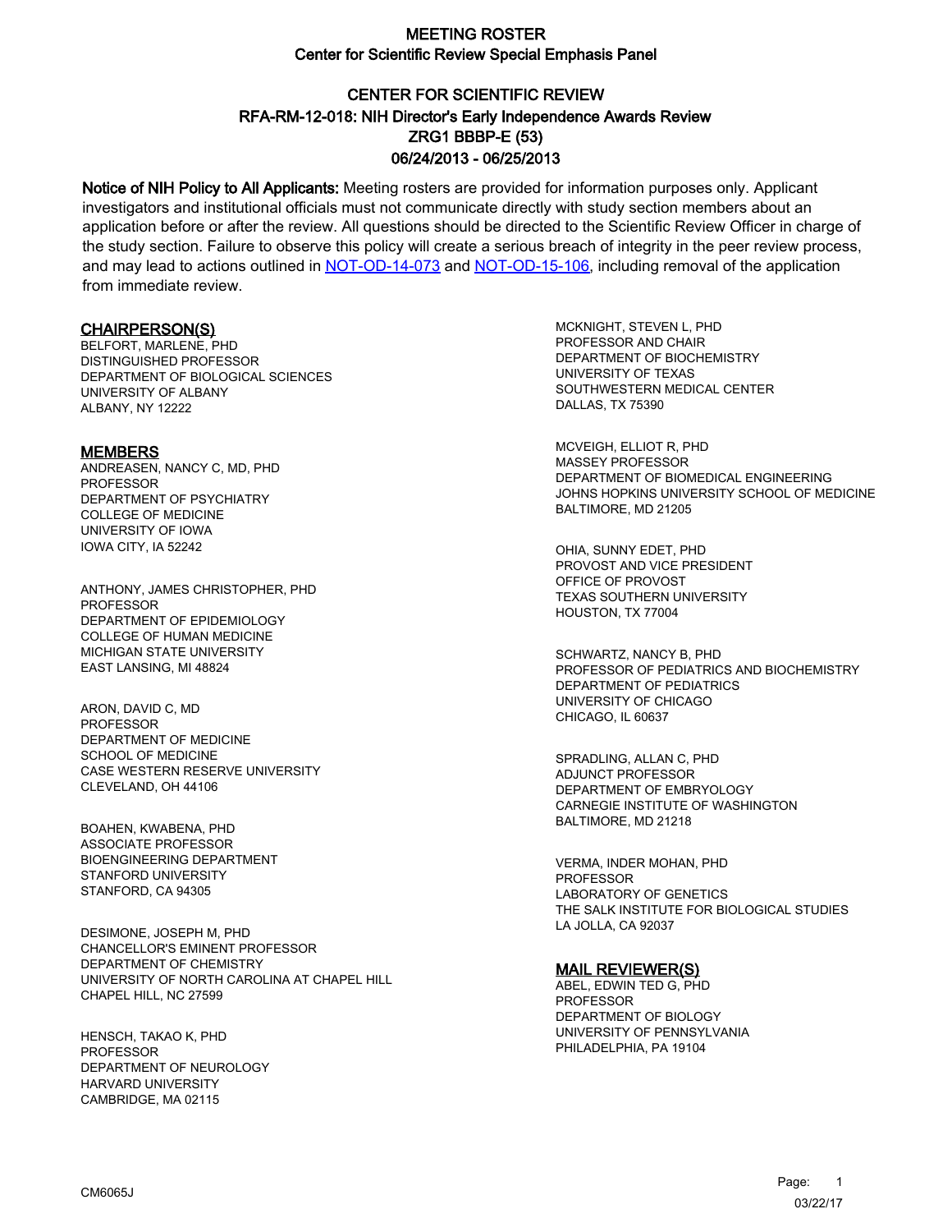# CENTER FOR SCIENTIFIC REVIEW ZRG1 BBBP-E (53) 06/24/2013 - 06/25/2013 RFA-RM-12-018: NIH Director's Early Independence Awards Review

Notice of NIH Policy to All Applicants: Meeting rosters are provided for information purposes only. Applicant investigators and institutional officials must not communicate directly with study section members about an application before or after the review. All questions should be directed to the Scientific Review Officer in charge of the study section. Failure to observe this policy will create a serious breach of integrity in the peer review process, and may lead to actions outlined in [NOT-OD-14-073](https://grants.nih.gov/grants/guide/notice-files/NOT-OD-14-073.html) and [NOT-OD-15-106,](https://grants.nih.gov/grants/guide/notice-files/NOT-OD-15-106.html) including removal of the application from immediate review.

#### CHAIRPERSON(S)

BELFORT, MARLENE, PHD DISTINGUISHED PROFESSOR DEPARTMENT OF BIOLOGICAL SCIENCES UNIVERSITY OF ALBANY AI BANY, NY 12222

#### **MEMBERS**

ANDREASEN, NANCY C, MD, PHD PROFESSOR DEPARTMENT OF PSYCHIATRY COLLEGE OF MEDICINE UNIVERSITY OF IOWA IOWA CITY, IA 52242

ANTHONY, JAMES CHRISTOPHER, PHD PROFESSOR DEPARTMENT OF EPIDEMIOLOGY COLLEGE OF HUMAN MEDICINE MICHIGAN STATE UNIVERSITY EAST LANSING, MI 48824

ARON, DAVID C, MD **PROFESSOR** DEPARTMENT OF MEDICINE SCHOOL OF MEDICINE CASE WESTERN RESERVE UNIVERSITY CLEVELAND, OH 44106

BOAHEN, KWABENA, PHD ASSOCIATE PROFESSOR BIOENGINEERING DEPARTMENT STANFORD UNIVERSITY STANFORD, CA 94305

DESIMONE, JOSEPH M, PHD CHANCELLOR'S EMINENT PROFESSOR DEPARTMENT OF CHEMISTRY UNIVERSITY OF NORTH CAROLINA AT CHAPEL HILL CHAPEL HILL, NC 27599

HENSCH, TAKAO K, PHD PROFESSOR DEPARTMENT OF NEUROLOGY HARVARD UNIVERSITY CAMBRIDGE, MA 02115

MCKNIGHT, STEVEN L, PHD PROFESSOR AND CHAIR DEPARTMENT OF BIOCHEMISTRY UNIVERSITY OF TEXAS SOUTHWESTERN MEDICAL CENTER DALLAS, TX 75390

MCVEIGH, ELLIOT R, PHD MASSEY PROFESSOR DEPARTMENT OF BIOMEDICAL ENGINEERING JOHNS HOPKINS UNIVERSITY SCHOOL OF MEDICINE BALTIMORE, MD 21205

OHIA, SUNNY EDET, PHD PROVOST AND VICE PRESIDENT OFFICE OF PROVOST TEXAS SOUTHERN UNIVERSITY HOUSTON, TX 77004

SCHWARTZ, NANCY B, PHD PROFESSOR OF PEDIATRICS AND BIOCHEMISTRY DEPARTMENT OF PEDIATRICS UNIVERSITY OF CHICAGO CHICAGO, IL 60637

SPRADLING, ALLAN C, PHD ADJUNCT PROFESSOR DEPARTMENT OF EMBRYOLOGY CARNEGIE INSTITUTE OF WASHINGTON BALTIMORE, MD 21218

VERMA, INDER MOHAN, PHD PROFESSOR LABORATORY OF GENETICS THE SALK INSTITUTE FOR BIOLOGICAL STUDIES LA JOLLA, CA 92037

#### MAIL REVIEWER(S)

ABEL, EDWIN TED G, PHD PROFESSOR DEPARTMENT OF BIOLOGY UNIVERSITY OF PENNSYLVANIA PHILADELPHIA, PA 19104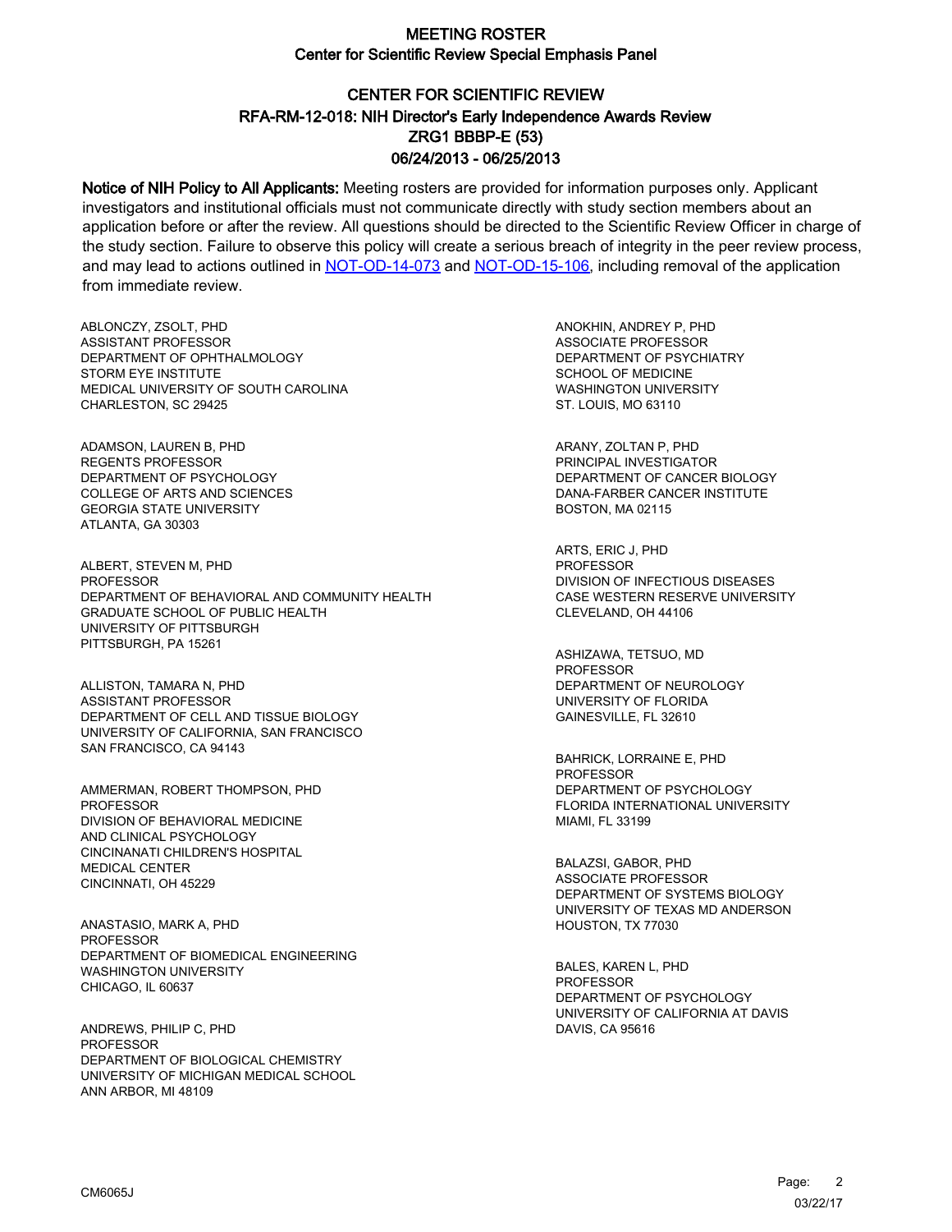# CENTER FOR SCIENTIFIC REVIEW ZRG1 BBBP-E (53) 06/24/2013 - 06/25/2013 RFA-RM-12-018: NIH Director's Early Independence Awards Review

Notice of NIH Policy to All Applicants: Meeting rosters are provided for information purposes only. Applicant investigators and institutional officials must not communicate directly with study section members about an application before or after the review. All questions should be directed to the Scientific Review Officer in charge of the study section. Failure to observe this policy will create a serious breach of integrity in the peer review process, and may lead to actions outlined in [NOT-OD-14-073](https://grants.nih.gov/grants/guide/notice-files/NOT-OD-14-073.html) and [NOT-OD-15-106,](https://grants.nih.gov/grants/guide/notice-files/NOT-OD-15-106.html) including removal of the application from immediate review.

ABLONCZY, ZSOLT, PHD ASSISTANT PROFESSOR DEPARTMENT OF OPHTHALMOLOGY STORM EYE INSTITUTE MEDICAL UNIVERSITY OF SOUTH CAROLINA CHARLESTON, SC 29425

ADAMSON, LAUREN B, PHD REGENTS PROFESSOR DEPARTMENT OF PSYCHOLOGY COLLEGE OF ARTS AND SCIENCES GEORGIA STATE UNIVERSITY ATLANTA, GA 30303

ALBERT, STEVEN M, PHD **PROFESSOR** DEPARTMENT OF BEHAVIORAL AND COMMUNITY HEALTH GRADUATE SCHOOL OF PUBLIC HEALTH UNIVERSITY OF PITTSBURGH PITTSBURGH, PA 15261

ALLISTON, TAMARA N, PHD ASSISTANT PROFESSOR DEPARTMENT OF CELL AND TISSUE BIOLOGY UNIVERSITY OF CALIFORNIA, SAN FRANCISCO SAN FRANCISCO, CA 94143

AMMERMAN, ROBERT THOMPSON, PHD PROFESSOR DIVISION OF BEHAVIORAL MEDICINE AND CLINICAL PSYCHOLOGY CINCINANATI CHILDREN'S HOSPITAL MEDICAL CENTER CINCINNATI, OH 45229

ANASTASIO, MARK A, PHD PROFESSOR DEPARTMENT OF BIOMEDICAL ENGINEERING WASHINGTON UNIVERSITY CHICAGO, IL 60637

ANDREWS, PHILIP C, PHD PROFESSOR DEPARTMENT OF BIOLOGICAL CHEMISTRY UNIVERSITY OF MICHIGAN MEDICAL SCHOOL ANN ARBOR, MI 48109

ANOKHIN, ANDREY P, PHD ASSOCIATE PROFESSOR DEPARTMENT OF PSYCHIATRY SCHOOL OF MEDICINE WASHINGTON UNIVERSITY ST. LOUIS, MO 63110

ARANY, ZOLTAN P, PHD PRINCIPAL INVESTIGATOR DEPARTMENT OF CANCER BIOLOGY DANA-FARBER CANCER INSTITUTE BOSTON, MA 02115

ARTS, ERIC J, PHD PROFESSOR DIVISION OF INFECTIOUS DISEASES CASE WESTERN RESERVE UNIVERSITY CLEVELAND, OH 44106

ASHIZAWA, TETSUO, MD PROFESSOR DEPARTMENT OF NEUROLOGY UNIVERSITY OF FLORIDA GAINESVILLE, FL 32610

BAHRICK, LORRAINE E, PHD PROFESSOR DEPARTMENT OF PSYCHOLOGY FLORIDA INTERNATIONAL UNIVERSITY MIAMI, FL 33199

BALAZSI, GABOR, PHD ASSOCIATE PROFESSOR DEPARTMENT OF SYSTEMS BIOLOGY UNIVERSITY OF TEXAS MD ANDERSON HOUSTON, TX 77030

BALES, KAREN L, PHD PROFESSOR DEPARTMENT OF PSYCHOLOGY UNIVERSITY OF CALIFORNIA AT DAVIS DAVIS, CA 95616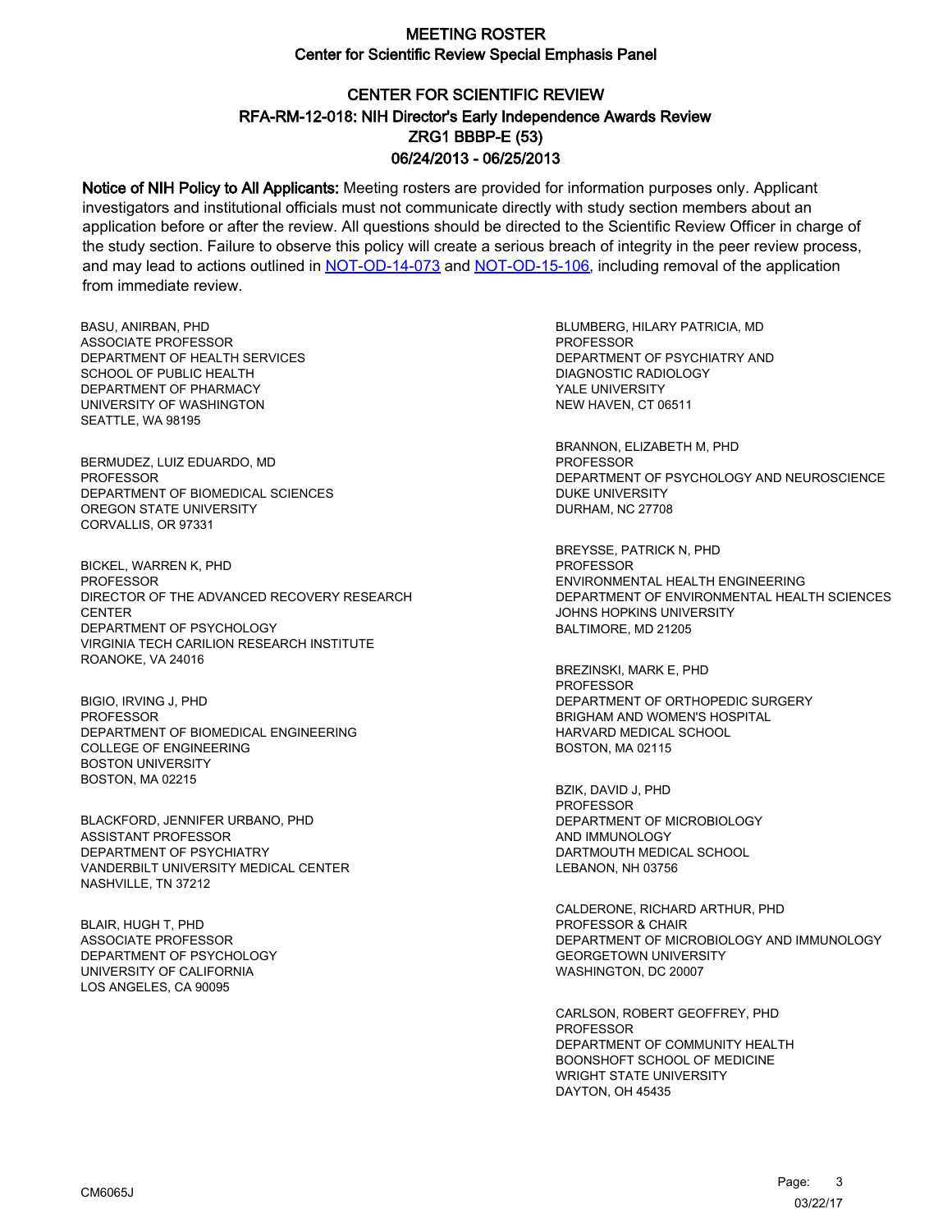# CENTER FOR SCIENTIFIC REVIEW ZRG1 BBBP-E (53) 06/24/2013 - 06/25/2013 RFA-RM-12-018: NIH Director's Early Independence Awards Review

Notice of NIH Policy to All Applicants: Meeting rosters are provided for information purposes only. Applicant investigators and institutional officials must not communicate directly with study section members about an application before or after the review. All questions should be directed to the Scientific Review Officer in charge of the study section. Failure to observe this policy will create a serious breach of integrity in the peer review process, and may lead to actions outlined in [NOT-OD-14-073](https://grants.nih.gov/grants/guide/notice-files/NOT-OD-14-073.html) and [NOT-OD-15-106,](https://grants.nih.gov/grants/guide/notice-files/NOT-OD-15-106.html) including removal of the application from immediate review.

BASU, ANIRBAN, PHD ASSOCIATE PROFESSOR DEPARTMENT OF HEALTH SERVICES SCHOOL OF PUBLIC HEALTH DEPARTMENT OF PHARMACY UNIVERSITY OF WASHINGTON SEATTLE, WA 98195

BERMUDEZ, LUIZ EDUARDO, MD PROFESSOR DEPARTMENT OF BIOMEDICAL SCIENCES OREGON STATE UNIVERSITY CORVALLIS, OR 97331

BICKEL, WARREN K, PHD **PROFESSOR** DIRECTOR OF THE ADVANCED RECOVERY RESEARCH **CENTER** DEPARTMENT OF PSYCHOLOGY VIRGINIA TECH CARILION RESEARCH INSTITUTE ROANOKE, VA 24016

BIGIO, IRVING J, PHD PROFESSOR DEPARTMENT OF BIOMEDICAL ENGINEERING COLLEGE OF ENGINEERING BOSTON UNIVERSITY BOSTON, MA 02215

BLACKFORD, JENNIFER URBANO, PHD ASSISTANT PROFESSOR DEPARTMENT OF PSYCHIATRY VANDERBILT UNIVERSITY MEDICAL CENTER NASHVILLE, TN 37212

BLAIR, HUGH T, PHD ASSOCIATE PROFESSOR DEPARTMENT OF PSYCHOLOGY UNIVERSITY OF CALIFORNIA LOS ANGELES, CA 90095

BLUMBERG, HILARY PATRICIA, MD PROFESSOR DEPARTMENT OF PSYCHIATRY AND DIAGNOSTIC RADIOLOGY YALE UNIVERSITY NEW HAVEN, CT 06511

BRANNON, ELIZABETH M, PHD PROFESSOR DEPARTMENT OF PSYCHOLOGY AND NEUROSCIENCE DUKE UNIVERSITY DURHAM, NC 27708

BREYSSE, PATRICK N, PHD PROFESSOR ENVIRONMENTAL HEALTH ENGINEERING DEPARTMENT OF ENVIRONMENTAL HEALTH SCIENCES JOHNS HOPKINS UNIVERSITY BALTIMORE, MD 21205

BREZINSKI, MARK E, PHD PROFESSOR DEPARTMENT OF ORTHOPEDIC SURGERY BRIGHAM AND WOMEN'S HOSPITAL HARVARD MEDICAL SCHOOL BOSTON, MA 02115

BZIK, DAVID J, PHD PROFESSOR DEPARTMENT OF MICROBIOLOGY AND IMMUNOLOGY DARTMOUTH MEDICAL SCHOOL LEBANON, NH 03756

CALDERONE, RICHARD ARTHUR, PHD PROFESSOR & CHAIR DEPARTMENT OF MICROBIOLOGY AND IMMUNOLOGY GEORGETOWN UNIVERSITY WASHINGTON, DC 20007

CARLSON, ROBERT GEOFFREY, PHD PROFESSOR DEPARTMENT OF COMMUNITY HEALTH BOONSHOFT SCHOOL OF MEDICINE WRIGHT STATE UNIVERSITY DAYTON, OH 45435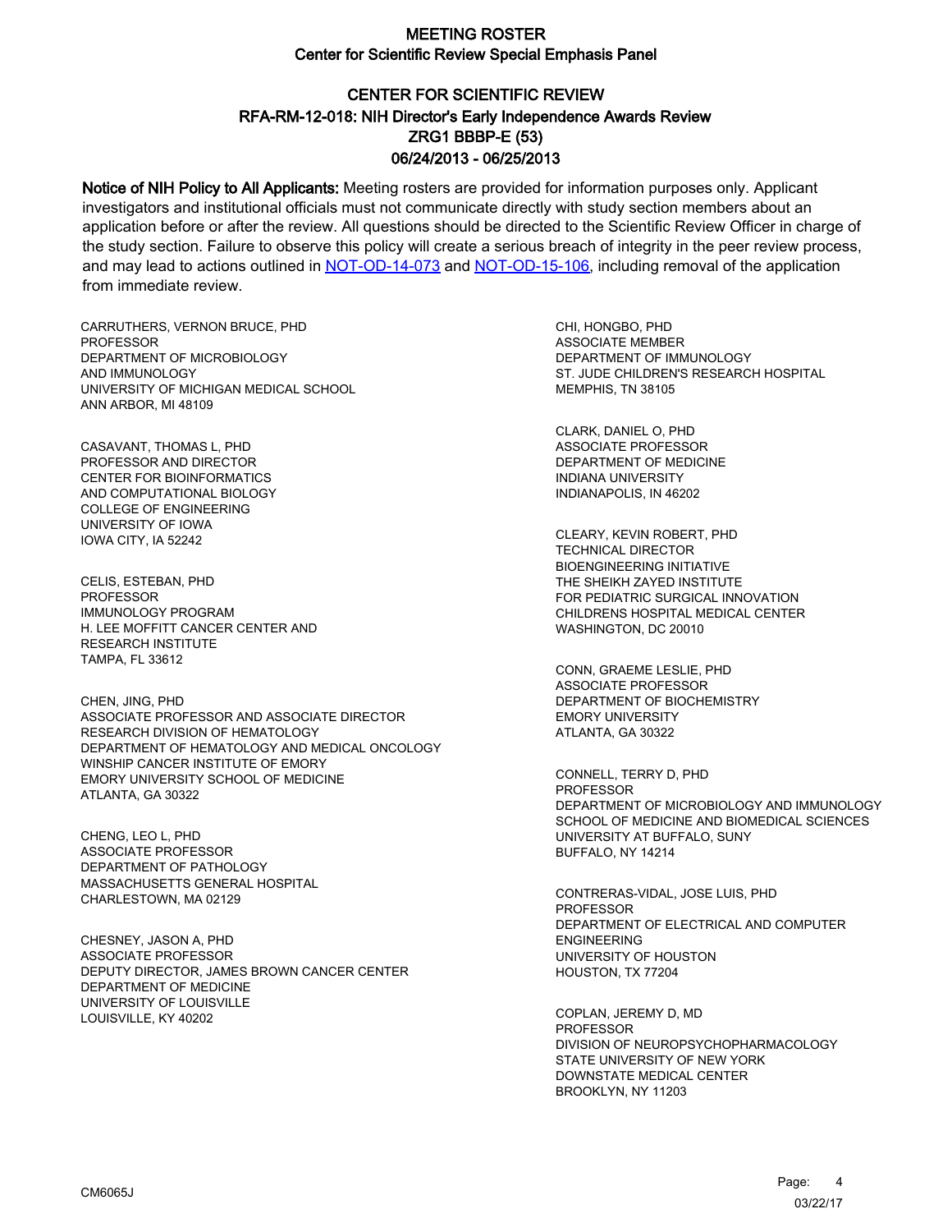# CENTER FOR SCIENTIFIC REVIEW ZRG1 BBBP-E (53) 06/24/2013 - 06/25/2013 RFA-RM-12-018: NIH Director's Early Independence Awards Review

Notice of NIH Policy to All Applicants: Meeting rosters are provided for information purposes only. Applicant investigators and institutional officials must not communicate directly with study section members about an application before or after the review. All questions should be directed to the Scientific Review Officer in charge of the study section. Failure to observe this policy will create a serious breach of integrity in the peer review process, and may lead to actions outlined in [NOT-OD-14-073](https://grants.nih.gov/grants/guide/notice-files/NOT-OD-14-073.html) and [NOT-OD-15-106,](https://grants.nih.gov/grants/guide/notice-files/NOT-OD-15-106.html) including removal of the application from immediate review.

CARRUTHERS, VERNON BRUCE, PHD **PROFESSOR** DEPARTMENT OF MICROBIOLOGY AND IMMUNOLOGY UNIVERSITY OF MICHIGAN MEDICAL SCHOOL ANN ARBOR, MI 48109

CASAVANT, THOMAS L, PHD PROFESSOR AND DIRECTOR CENTER FOR BIOINFORMATICS AND COMPUTATIONAL BIOLOGY COLLEGE OF ENGINEERING UNIVERSITY OF IOWA IOWA CITY, IA 52242

CELIS, ESTEBAN, PHD PROFESSOR IMMUNOLOGY PROGRAM H. LEE MOFFITT CANCER CENTER AND RESEARCH INSTITUTE TAMPA, FL 33612

CHEN, JING, PHD ASSOCIATE PROFESSOR AND ASSOCIATE DIRECTOR RESEARCH DIVISION OF HEMATOLOGY DEPARTMENT OF HEMATOLOGY AND MEDICAL ONCOLOGY WINSHIP CANCER INSTITUTE OF EMORY EMORY UNIVERSITY SCHOOL OF MEDICINE ATLANTA, GA 30322

CHENG, LEO L, PHD ASSOCIATE PROFESSOR DEPARTMENT OF PATHOLOGY MASSACHUSETTS GENERAL HOSPITAL CHARLESTOWN, MA 02129

CHESNEY, JASON A, PHD ASSOCIATE PROFESSOR DEPUTY DIRECTOR, JAMES BROWN CANCER CENTER DEPARTMENT OF MEDICINE UNIVERSITY OF LOUISVILLE LOUISVILLE, KY 40202

CHI, HONGBO, PHD ASSOCIATE MEMBER DEPARTMENT OF IMMUNOLOGY ST. JUDE CHILDREN'S RESEARCH HOSPITAL MEMPHIS, TN 38105

CLARK, DANIEL O, PHD ASSOCIATE PROFESSOR DEPARTMENT OF MEDICINE INDIANA UNIVERSITY INDIANAPOLIS, IN 46202

CLEARY, KEVIN ROBERT, PHD TECHNICAL DIRECTOR BIOENGINEERING INITIATIVE THE SHEIKH ZAYED INSTITUTE FOR PEDIATRIC SURGICAL INNOVATION CHILDRENS HOSPITAL MEDICAL CENTER WASHINGTON, DC 20010

CONN, GRAEME LESLIE, PHD ASSOCIATE PROFESSOR DEPARTMENT OF BIOCHEMISTRY EMORY UNIVERSITY ATLANTA, GA 30322

CONNELL, TERRY D, PHD PROFESSOR DEPARTMENT OF MICROBIOLOGY AND IMMUNOLOGY SCHOOL OF MEDICINE AND BIOMEDICAL SCIENCES UNIVERSITY AT BUFFALO, SUNY BUFFALO, NY 14214

CONTRERAS-VIDAL, JOSE LUIS, PHD **PROFESSOR** DEPARTMENT OF ELECTRICAL AND COMPUTER ENGINEERING UNIVERSITY OF HOUSTON HOUSTON, TX 77204

COPLAN, JEREMY D, MD PROFESSOR DIVISION OF NEUROPSYCHOPHARMACOLOGY STATE UNIVERSITY OF NEW YORK DOWNSTATE MEDICAL CENTER BROOKLYN, NY 11203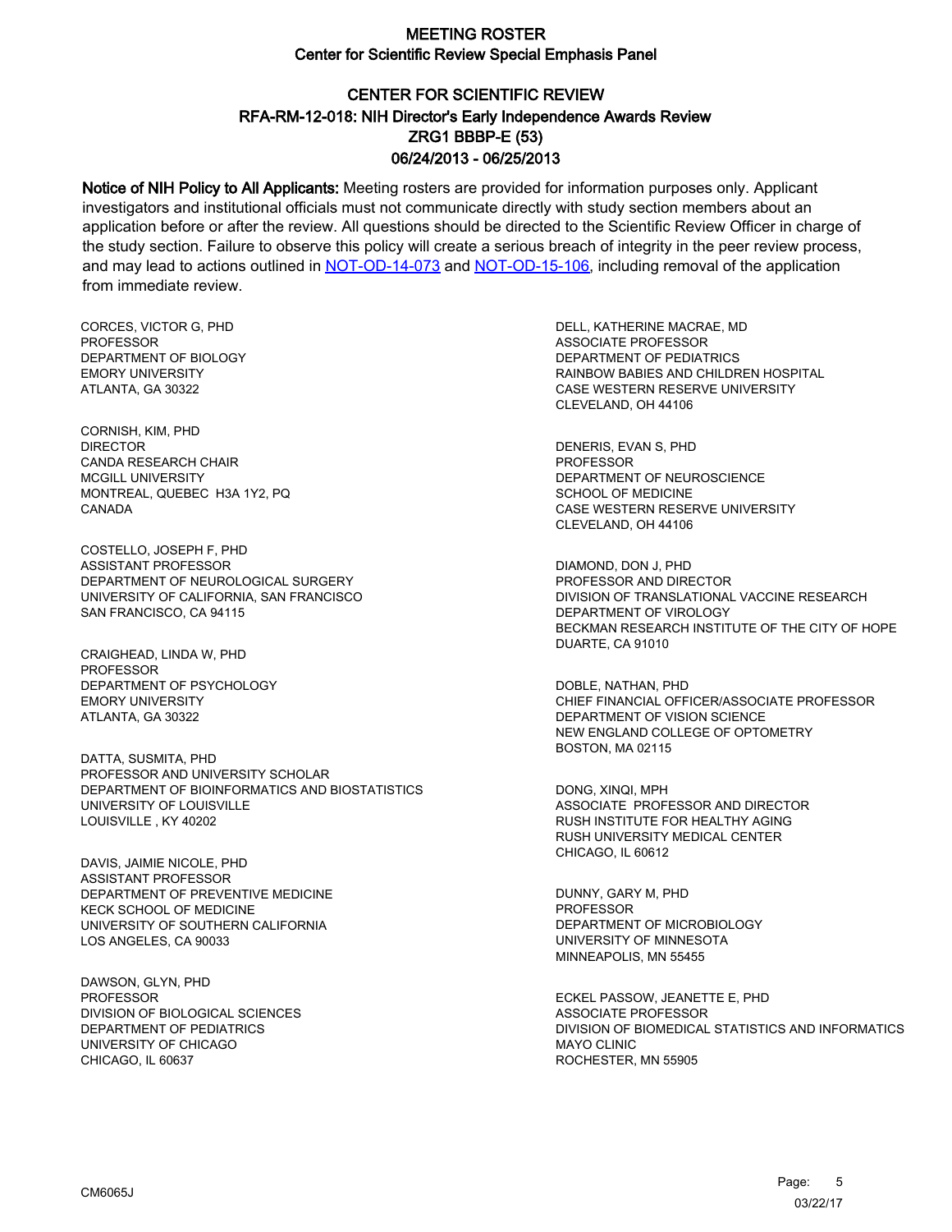# CENTER FOR SCIENTIFIC REVIEW ZRG1 BBBP-E (53) 06/24/2013 - 06/25/2013 RFA-RM-12-018: NIH Director's Early Independence Awards Review

Notice of NIH Policy to All Applicants: Meeting rosters are provided for information purposes only. Applicant investigators and institutional officials must not communicate directly with study section members about an application before or after the review. All questions should be directed to the Scientific Review Officer in charge of the study section. Failure to observe this policy will create a serious breach of integrity in the peer review process, and may lead to actions outlined in [NOT-OD-14-073](https://grants.nih.gov/grants/guide/notice-files/NOT-OD-14-073.html) and [NOT-OD-15-106,](https://grants.nih.gov/grants/guide/notice-files/NOT-OD-15-106.html) including removal of the application from immediate review.

CORCES, VICTOR G, PHD **PROFESSOR** DEPARTMENT OF BIOLOGY EMORY UNIVERSITY ATLANTA, GA 30322

CORNISH, KIM, PHD DIRECTOR CANDA RESEARCH CHAIR MCGILL UNIVERSITY MONTREAL, QUEBEC H3A 1Y2, PQ CANADA

COSTELLO, JOSEPH F, PHD ASSISTANT PROFESSOR DEPARTMENT OF NEUROLOGICAL SURGERY UNIVERSITY OF CALIFORNIA, SAN FRANCISCO SAN FRANCISCO, CA 94115

CRAIGHEAD, LINDA W, PHD PROFESSOR DEPARTMENT OF PSYCHOLOGY EMORY UNIVERSITY ATLANTA, GA 30322

DATTA, SUSMITA, PHD PROFESSOR AND UNIVERSITY SCHOLAR DEPARTMENT OF BIOINFORMATICS AND BIOSTATISTICS UNIVERSITY OF LOUISVILLE LOUISVILLE , KY 40202

DAVIS, JAIMIE NICOLE, PHD ASSISTANT PROFESSOR DEPARTMENT OF PREVENTIVE MEDICINE KECK SCHOOL OF MEDICINE UNIVERSITY OF SOUTHERN CALIFORNIA LOS ANGELES, CA 90033

DAWSON, GLYN, PHD PROFESSOR DIVISION OF BIOLOGICAL SCIENCES DEPARTMENT OF PEDIATRICS UNIVERSITY OF CHICAGO CHICAGO, IL 60637

DELL, KATHERINE MACRAE, MD ASSOCIATE PROFESSOR DEPARTMENT OF PEDIATRICS RAINBOW BABIES AND CHILDREN HOSPITAL CASE WESTERN RESERVE UNIVERSITY CLEVELAND, OH 44106

DENERIS, EVAN S, PHD PROFESSOR DEPARTMENT OF NEUROSCIENCE SCHOOL OF MEDICINE CASE WESTERN RESERVE UNIVERSITY CLEVELAND, OH 44106

DIAMOND, DON J, PHD PROFESSOR AND DIRECTOR DIVISION OF TRANSLATIONAL VACCINE RESEARCH DEPARTMENT OF VIROLOGY BECKMAN RESEARCH INSTITUTE OF THE CITY OF HOPE DUARTE, CA 91010

DOBLE, NATHAN, PHD CHIEF FINANCIAL OFFICER/ASSOCIATE PROFESSOR DEPARTMENT OF VISION SCIENCE NEW ENGLAND COLLEGE OF OPTOMETRY BOSTON, MA 02115

DONG, XINQI, MPH ASSOCIATE PROFESSOR AND DIRECTOR RUSH INSTITUTE FOR HEALTHY AGING RUSH UNIVERSITY MEDICAL CENTER CHICAGO, IL 60612

DUNNY, GARY M, PHD **PROFESSOR** DEPARTMENT OF MICROBIOLOGY UNIVERSITY OF MINNESOTA MINNEAPOLIS, MN 55455

ECKEL PASSOW, JEANETTE E, PHD ASSOCIATE PROFESSOR DIVISION OF BIOMEDICAL STATISTICS AND INFORMATICS MAYO CLINIC ROCHESTER, MN 55905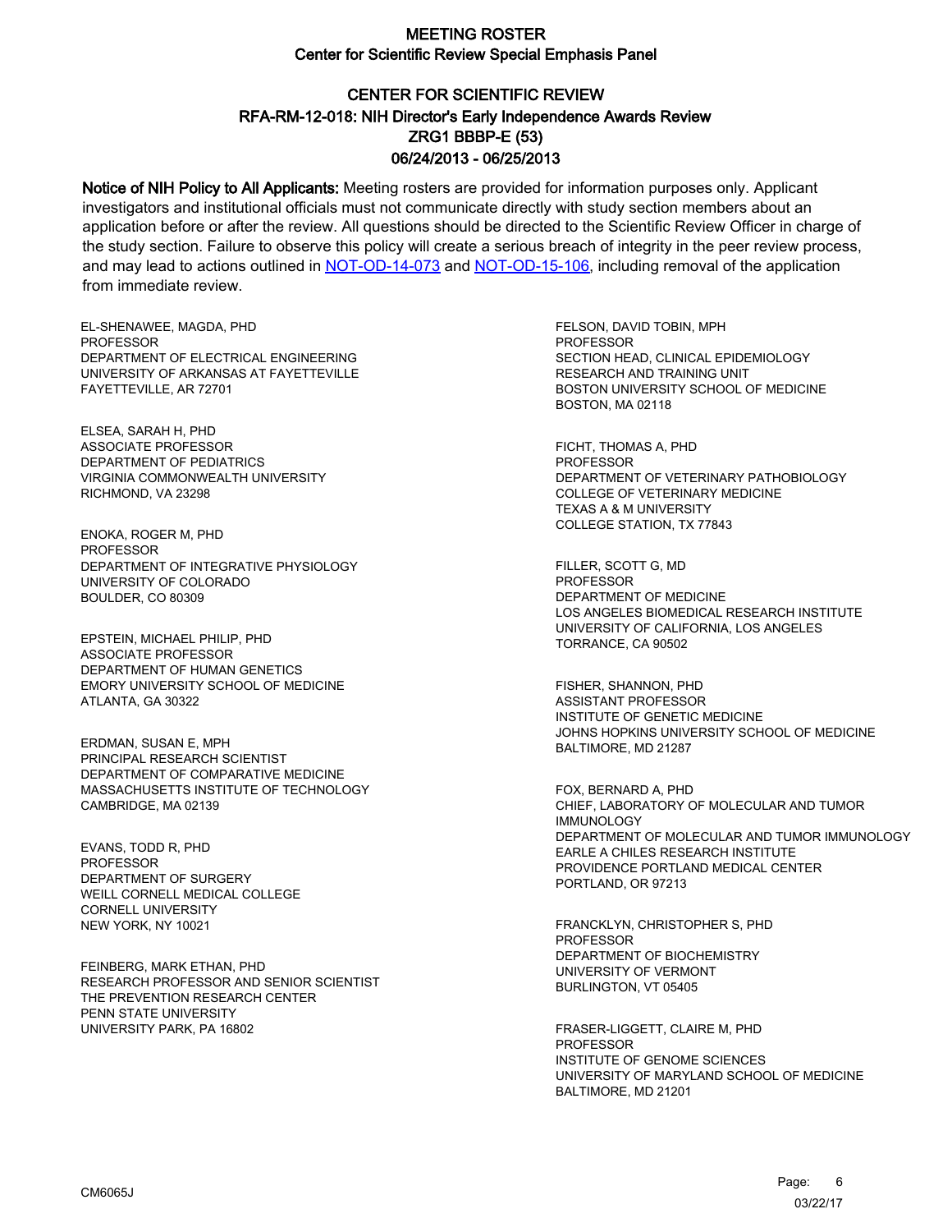# CENTER FOR SCIENTIFIC REVIEW ZRG1 BBBP-E (53) 06/24/2013 - 06/25/2013 RFA-RM-12-018: NIH Director's Early Independence Awards Review

Notice of NIH Policy to All Applicants: Meeting rosters are provided for information purposes only. Applicant investigators and institutional officials must not communicate directly with study section members about an application before or after the review. All questions should be directed to the Scientific Review Officer in charge of the study section. Failure to observe this policy will create a serious breach of integrity in the peer review process, and may lead to actions outlined in [NOT-OD-14-073](https://grants.nih.gov/grants/guide/notice-files/NOT-OD-14-073.html) and [NOT-OD-15-106,](https://grants.nih.gov/grants/guide/notice-files/NOT-OD-15-106.html) including removal of the application from immediate review.

EL-SHENAWEE, MAGDA, PHD **PROFESSOR** DEPARTMENT OF ELECTRICAL ENGINEERING UNIVERSITY OF ARKANSAS AT FAYETTEVILLE FAYETTEVILLE, AR 72701

ELSEA, SARAH H, PHD ASSOCIATE PROFESSOR DEPARTMENT OF PEDIATRICS VIRGINIA COMMONWEALTH UNIVERSITY RICHMOND, VA 23298

ENOKA, ROGER M, PHD PROFESSOR DEPARTMENT OF INTEGRATIVE PHYSIOLOGY UNIVERSITY OF COLORADO BOULDER, CO 80309

EPSTEIN, MICHAEL PHILIP, PHD ASSOCIATE PROFESSOR DEPARTMENT OF HUMAN GENETICS EMORY UNIVERSITY SCHOOL OF MEDICINE ATLANTA, GA 30322

ERDMAN, SUSAN E, MPH PRINCIPAL RESEARCH SCIENTIST DEPARTMENT OF COMPARATIVE MEDICINE MASSACHUSETTS INSTITUTE OF TECHNOLOGY CAMBRIDGE, MA 02139

EVANS, TODD R, PHD PROFESSOR DEPARTMENT OF SURGERY WEILL CORNELL MEDICAL COLLEGE CORNELL UNIVERSITY NEW YORK, NY 10021

FEINBERG, MARK ETHAN, PHD RESEARCH PROFESSOR AND SENIOR SCIENTIST THE PREVENTION RESEARCH CENTER PENN STATE UNIVERSITY UNIVERSITY PARK, PA 16802

FELSON, DAVID TOBIN, MPH PROFESSOR SECTION HEAD, CLINICAL EPIDEMIOLOGY RESEARCH AND TRAINING UNIT BOSTON UNIVERSITY SCHOOL OF MEDICINE BOSTON, MA 02118

FICHT, THOMAS A, PHD PROFESSOR DEPARTMENT OF VETERINARY PATHOBIOLOGY COLLEGE OF VETERINARY MEDICINE TEXAS A & M UNIVERSITY COLLEGE STATION, TX 77843

FILLER, SCOTT G, MD **PROFESSOR** DEPARTMENT OF MEDICINE LOS ANGELES BIOMEDICAL RESEARCH INSTITUTE UNIVERSITY OF CALIFORNIA, LOS ANGELES TORRANCE, CA 90502

FISHER, SHANNON, PHD ASSISTANT PROFESSOR INSTITUTE OF GENETIC MEDICINE JOHNS HOPKINS UNIVERSITY SCHOOL OF MEDICINE BALTIMORE, MD 21287

FOX, BERNARD A, PHD CHIEF, LABORATORY OF MOLECULAR AND TUMOR IMMUNOLOGY DEPARTMENT OF MOLECULAR AND TUMOR IMMUNOLOGY EARLE A CHILES RESEARCH INSTITUTE PROVIDENCE PORTLAND MEDICAL CENTER PORTLAND, OR 97213

FRANCKLYN, CHRISTOPHER S, PHD **PROFESSOR** DEPARTMENT OF BIOCHEMISTRY UNIVERSITY OF VERMONT BURLINGTON, VT 05405

FRASER-LIGGETT, CLAIRE M, PHD **PROFESSOR** INSTITUTE OF GENOME SCIENCES UNIVERSITY OF MARYLAND SCHOOL OF MEDICINE BALTIMORE, MD 21201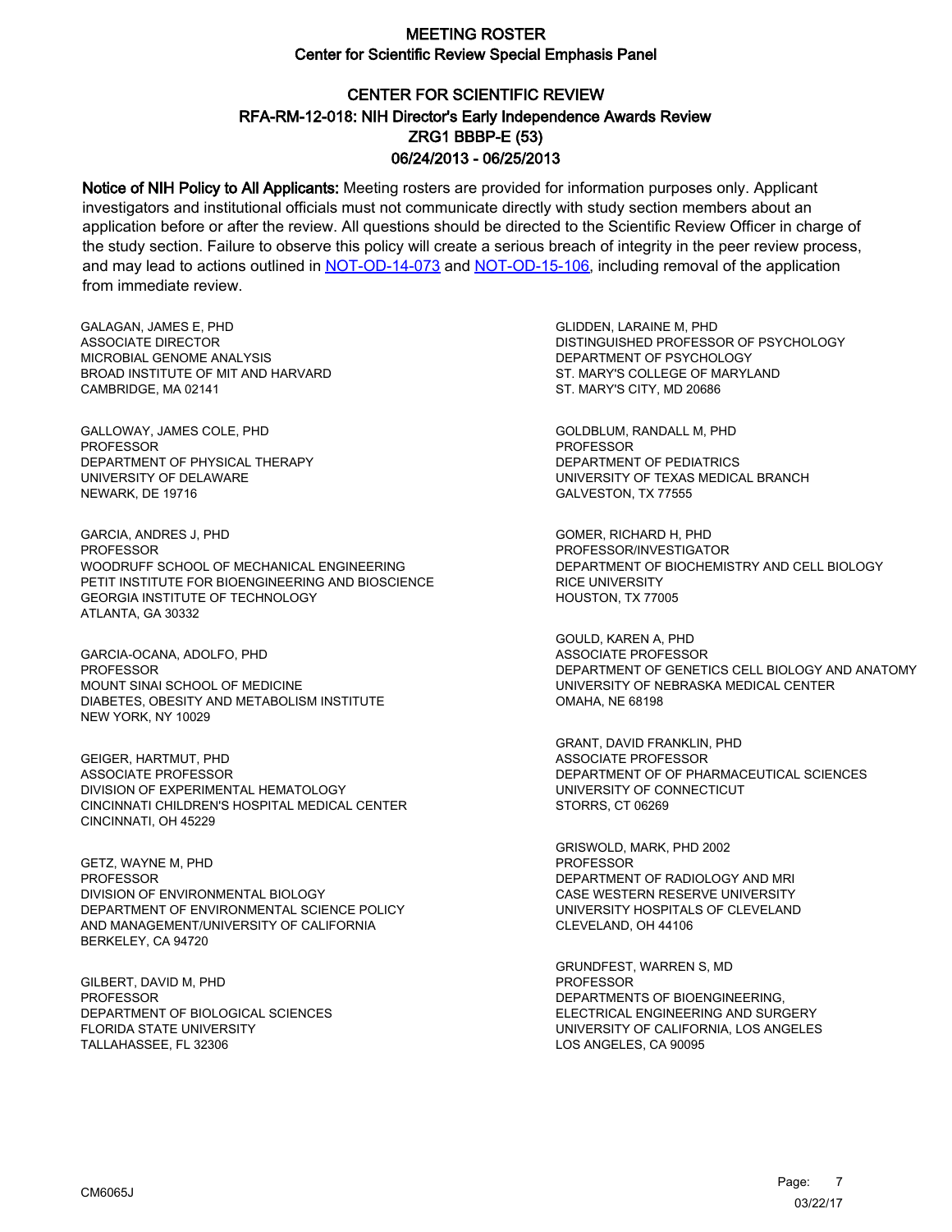# CENTER FOR SCIENTIFIC REVIEW ZRG1 BBBP-E (53) 06/24/2013 - 06/25/2013 RFA-RM-12-018: NIH Director's Early Independence Awards Review

Notice of NIH Policy to All Applicants: Meeting rosters are provided for information purposes only. Applicant investigators and institutional officials must not communicate directly with study section members about an application before or after the review. All questions should be directed to the Scientific Review Officer in charge of the study section. Failure to observe this policy will create a serious breach of integrity in the peer review process, and may lead to actions outlined in [NOT-OD-14-073](https://grants.nih.gov/grants/guide/notice-files/NOT-OD-14-073.html) and [NOT-OD-15-106,](https://grants.nih.gov/grants/guide/notice-files/NOT-OD-15-106.html) including removal of the application from immediate review.

GALAGAN, JAMES E, PHD ASSOCIATE DIRECTOR MICROBIAL GENOME ANALYSIS BROAD INSTITUTE OF MIT AND HARVARD CAMBRIDGE, MA 02141

GALLOWAY, JAMES COLE, PHD PROFESSOR DEPARTMENT OF PHYSICAL THERAPY UNIVERSITY OF DELAWARE NEWARK, DE 19716

GARCIA, ANDRES J, PHD **PROFESSOR** WOODRUFF SCHOOL OF MECHANICAL ENGINEERING PETIT INSTITUTE FOR BIOENGINEERING AND BIOSCIENCE GEORGIA INSTITUTE OF TECHNOLOGY ATLANTA, GA 30332

GARCIA-OCANA, ADOLFO, PHD PROFESSOR MOUNT SINAI SCHOOL OF MEDICINE DIABETES, OBESITY AND METABOLISM INSTITUTE NEW YORK, NY 10029

GEIGER, HARTMUT, PHD ASSOCIATE PROFESSOR DIVISION OF EXPERIMENTAL HEMATOLOGY CINCINNATI CHILDREN'S HOSPITAL MEDICAL CENTER CINCINNATI, OH 45229

GETZ, WAYNE M, PHD PROFESSOR DIVISION OF ENVIRONMENTAL BIOLOGY DEPARTMENT OF ENVIRONMENTAL SCIENCE POLICY AND MANAGEMENT/UNIVERSITY OF CALIFORNIA BERKELEY, CA 94720

GILBERT, DAVID M, PHD PROFESSOR DEPARTMENT OF BIOLOGICAL SCIENCES FLORIDA STATE UNIVERSITY TALLAHASSEE, FL 32306

GLIDDEN, LARAINE M, PHD DISTINGUISHED PROFESSOR OF PSYCHOLOGY DEPARTMENT OF PSYCHOLOGY ST. MARY'S COLLEGE OF MARYLAND ST. MARY'S CITY, MD 20686

GOLDBLUM, RANDALL M, PHD PROFESSOR DEPARTMENT OF PEDIATRICS UNIVERSITY OF TEXAS MEDICAL BRANCH GALVESTON, TX 77555

GOMER, RICHARD H, PHD PROFESSOR/INVESTIGATOR DEPARTMENT OF BIOCHEMISTRY AND CELL BIOLOGY RICE UNIVERSITY HOUSTON, TX 77005

GOULD, KAREN A, PHD ASSOCIATE PROFESSOR DEPARTMENT OF GENETICS CELL BIOLOGY AND ANATOMY UNIVERSITY OF NEBRASKA MEDICAL CENTER OMAHA, NE 68198

GRANT, DAVID FRANKLIN, PHD ASSOCIATE PROFESSOR DEPARTMENT OF OF PHARMACEUTICAL SCIENCES UNIVERSITY OF CONNECTICUT STORRS, CT 06269

GRISWOLD, MARK, PHD 2002 PROFESSOR DEPARTMENT OF RADIOLOGY AND MRI CASE WESTERN RESERVE UNIVERSITY UNIVERSITY HOSPITALS OF CLEVELAND CLEVELAND, OH 44106

GRUNDFEST, WARREN S, MD PROFESSOR DEPARTMENTS OF BIOENGINEERING, ELECTRICAL ENGINEERING AND SURGERY UNIVERSITY OF CALIFORNIA, LOS ANGELES LOS ANGELES, CA 90095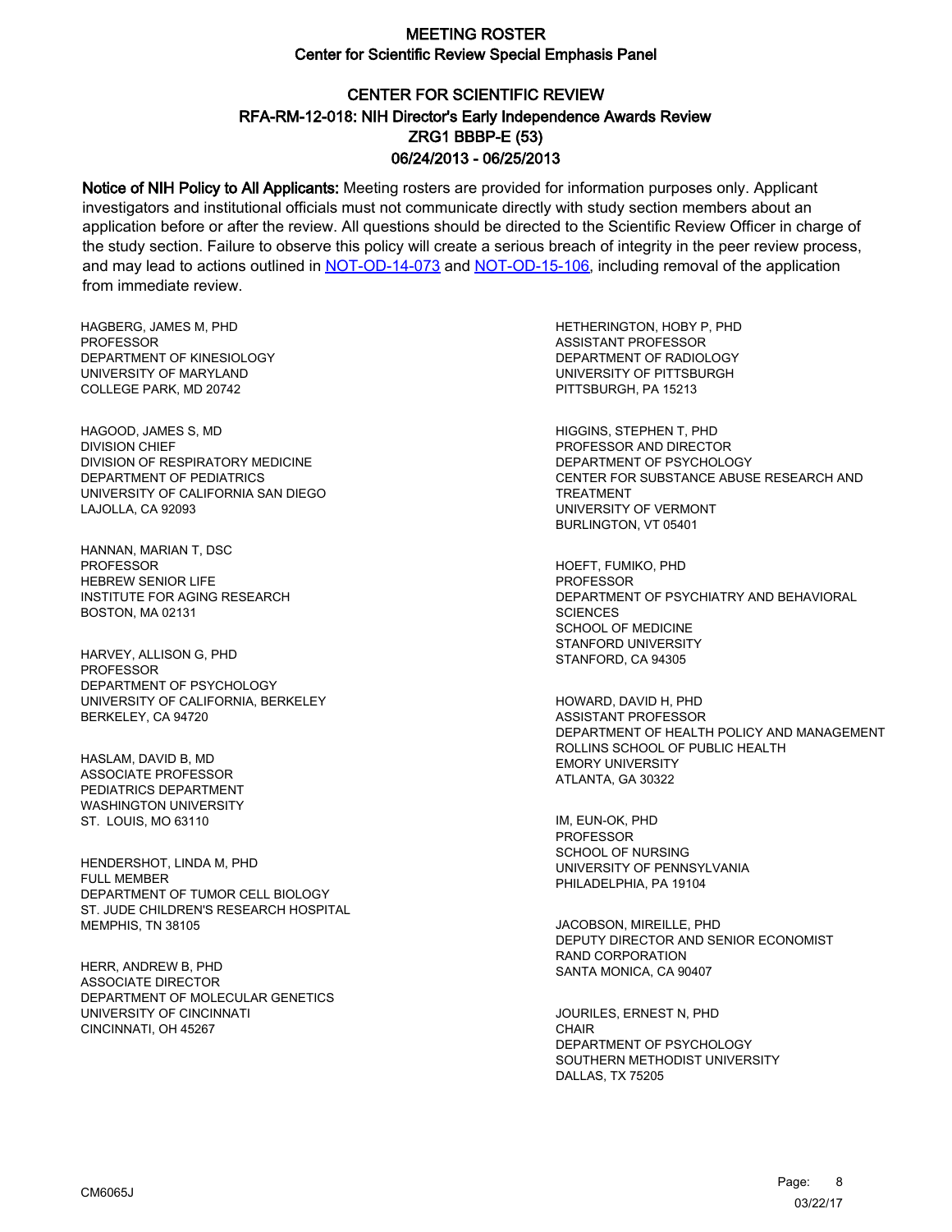# CENTER FOR SCIENTIFIC REVIEW ZRG1 BBBP-E (53) 06/24/2013 - 06/25/2013 RFA-RM-12-018: NIH Director's Early Independence Awards Review

Notice of NIH Policy to All Applicants: Meeting rosters are provided for information purposes only. Applicant investigators and institutional officials must not communicate directly with study section members about an application before or after the review. All questions should be directed to the Scientific Review Officer in charge of the study section. Failure to observe this policy will create a serious breach of integrity in the peer review process, and may lead to actions outlined in [NOT-OD-14-073](https://grants.nih.gov/grants/guide/notice-files/NOT-OD-14-073.html) and [NOT-OD-15-106,](https://grants.nih.gov/grants/guide/notice-files/NOT-OD-15-106.html) including removal of the application from immediate review.

HAGBERG, JAMES M, PHD **PROFESSOR** DEPARTMENT OF KINESIOLOGY UNIVERSITY OF MARYLAND COLLEGE PARK, MD 20742

HAGOOD, JAMES S, MD DIVISION CHIEF DIVISION OF RESPIRATORY MEDICINE DEPARTMENT OF PEDIATRICS UNIVERSITY OF CALIFORNIA SAN DIEGO LAJOLLA, CA 92093

HANNAN, MARIAN T, DSC PROFESSOR HEBREW SENIOR LIFE INSTITUTE FOR AGING RESEARCH BOSTON, MA 02131

HARVEY, ALLISON G, PHD PROFESSOR DEPARTMENT OF PSYCHOLOGY UNIVERSITY OF CALIFORNIA, BERKELEY BERKELEY, CA 94720

HASLAM, DAVID B, MD ASSOCIATE PROFESSOR PEDIATRICS DEPARTMENT WASHINGTON UNIVERSITY ST. LOUIS, MO 63110

HENDERSHOT, LINDA M, PHD FULL MEMBER DEPARTMENT OF TUMOR CELL BIOLOGY ST. JUDE CHILDREN'S RESEARCH HOSPITAL MEMPHIS, TN 38105

HERR, ANDREW B, PHD ASSOCIATE DIRECTOR DEPARTMENT OF MOLECULAR GENETICS UNIVERSITY OF CINCINNATI CINCINNATI, OH 45267

HETHERINGTON, HOBY P, PHD ASSISTANT PROFESSOR DEPARTMENT OF RADIOLOGY UNIVERSITY OF PITTSBURGH PITTSBURGH, PA 15213

HIGGINS, STEPHEN T, PHD PROFESSOR AND DIRECTOR DEPARTMENT OF PSYCHOLOGY CENTER FOR SUBSTANCE ABUSE RESEARCH AND TREATMENT UNIVERSITY OF VERMONT BURLINGTON, VT 05401

HOEFT, FUMIKO, PHD **PROFESSOR** DEPARTMENT OF PSYCHIATRY AND BEHAVIORAL **SCIENCES** SCHOOL OF MEDICINE STANFORD UNIVERSITY STANFORD, CA 94305

HOWARD, DAVID H, PHD ASSISTANT PROFESSOR DEPARTMENT OF HEALTH POLICY AND MANAGEMENT ROLLINS SCHOOL OF PUBLIC HEALTH EMORY UNIVERSITY ATLANTA, GA 30322

IM, EUN-OK, PHD **PROFESSOR** SCHOOL OF NURSING UNIVERSITY OF PENNSYLVANIA PHILADELPHIA, PA 19104

JACOBSON, MIREILLE, PHD DEPUTY DIRECTOR AND SENIOR ECONOMIST RAND CORPORATION SANTA MONICA, CA 90407

JOURILES, ERNEST N, PHD **CHAIR** DEPARTMENT OF PSYCHOLOGY SOUTHERN METHODIST UNIVERSITY DALLAS, TX 75205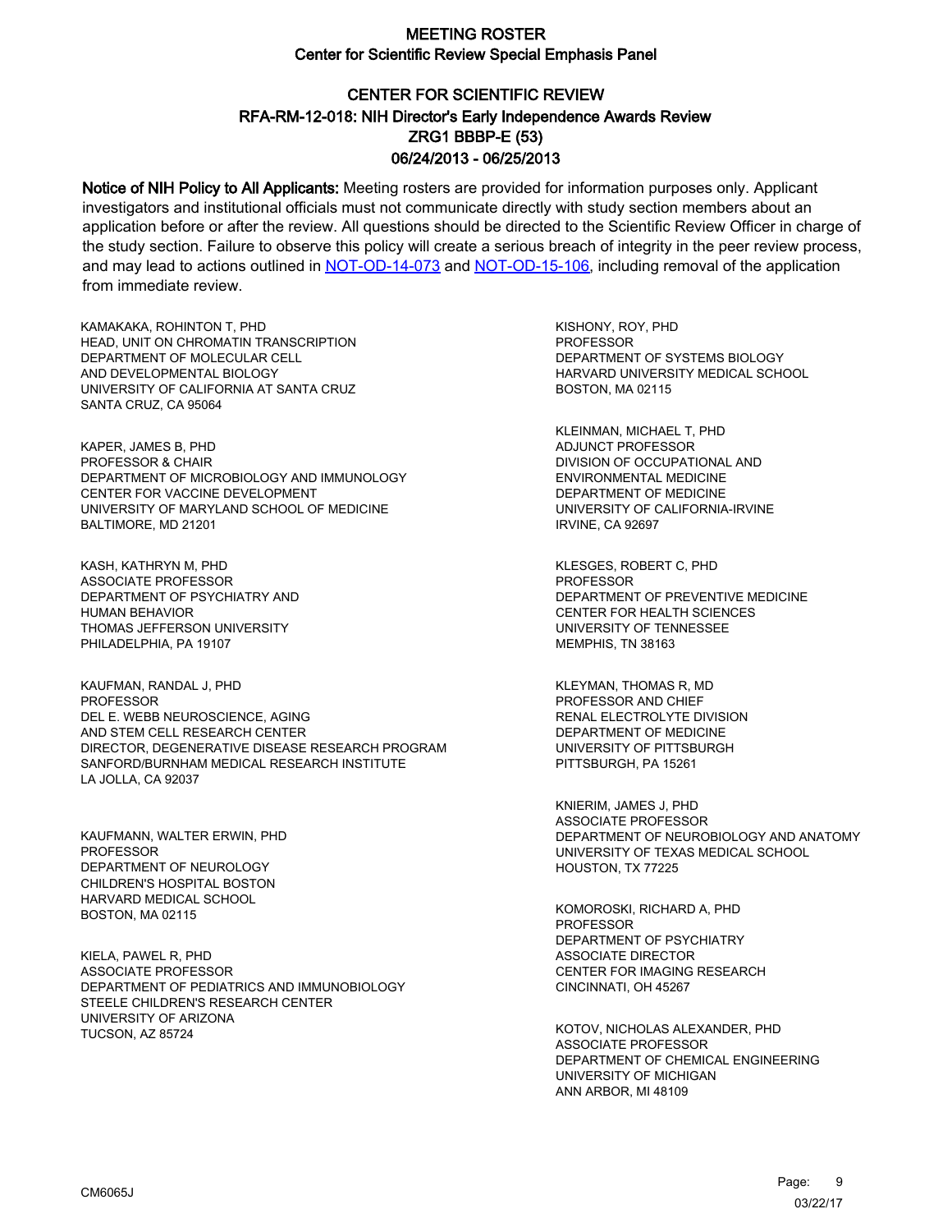# CENTER FOR SCIENTIFIC REVIEW ZRG1 BBBP-E (53) 06/24/2013 - 06/25/2013 RFA-RM-12-018: NIH Director's Early Independence Awards Review

Notice of NIH Policy to All Applicants: Meeting rosters are provided for information purposes only. Applicant investigators and institutional officials must not communicate directly with study section members about an application before or after the review. All questions should be directed to the Scientific Review Officer in charge of the study section. Failure to observe this policy will create a serious breach of integrity in the peer review process, and may lead to actions outlined in [NOT-OD-14-073](https://grants.nih.gov/grants/guide/notice-files/NOT-OD-14-073.html) and [NOT-OD-15-106,](https://grants.nih.gov/grants/guide/notice-files/NOT-OD-15-106.html) including removal of the application from immediate review.

KAMAKAKA, ROHINTON T, PHD HEAD, UNIT ON CHROMATIN TRANSCRIPTION DEPARTMENT OF MOLECULAR CELL AND DEVELOPMENTAL BIOLOGY UNIVERSITY OF CALIFORNIA AT SANTA CRUZ SANTA CRUZ, CA 95064

KAPER, JAMES B, PHD PROFESSOR & CHAIR DEPARTMENT OF MICROBIOLOGY AND IMMUNOLOGY CENTER FOR VACCINE DEVELOPMENT UNIVERSITY OF MARYLAND SCHOOL OF MEDICINE BALTIMORE, MD 21201

KASH, KATHRYN M, PHD ASSOCIATE PROFESSOR DEPARTMENT OF PSYCHIATRY AND HUMAN BEHAVIOR THOMAS JEFFERSON UNIVERSITY PHILADELPHIA, PA 19107

KAUFMAN, RANDAL J, PHD **PROFESSOR** DEL E. WEBB NEUROSCIENCE, AGING AND STEM CELL RESEARCH CENTER DIRECTOR, DEGENERATIVE DISEASE RESEARCH PROGRAM SANFORD/BURNHAM MEDICAL RESEARCH INSTITUTE LA JOLLA, CA 92037

KAUFMANN, WALTER ERWIN, PHD PROFESSOR DEPARTMENT OF NEUROLOGY CHILDREN'S HOSPITAL BOSTON HARVARD MEDICAL SCHOOL BOSTON, MA 02115

KIELA, PAWEL R, PHD ASSOCIATE PROFESSOR DEPARTMENT OF PEDIATRICS AND IMMUNOBIOLOGY STEELE CHILDREN'S RESEARCH CENTER UNIVERSITY OF ARIZONA TUCSON, AZ 85724

KISHONY, ROY, PHD **PROFESSOR** DEPARTMENT OF SYSTEMS BIOLOGY HARVARD UNIVERSITY MEDICAL SCHOOL BOSTON, MA 02115

KLEINMAN, MICHAEL T, PHD ADJUNCT PROFESSOR DIVISION OF OCCUPATIONAL AND ENVIRONMENTAL MEDICINE DEPARTMENT OF MEDICINE UNIVERSITY OF CALIFORNIA-IRVINE IRVINE, CA 92697

KLESGES, ROBERT C, PHD **PROFESSOR** DEPARTMENT OF PREVENTIVE MEDICINE CENTER FOR HEALTH SCIENCES UNIVERSITY OF TENNESSEE MEMPHIS, TN 38163

KLEYMAN, THOMAS R, MD PROFESSOR AND CHIEF RENAL ELECTROLYTE DIVISION DEPARTMENT OF MEDICINE UNIVERSITY OF PITTSBURGH PITTSBURGH, PA 15261

KNIERIM, JAMES J, PHD ASSOCIATE PROFESSOR DEPARTMENT OF NEUROBIOLOGY AND ANATOMY UNIVERSITY OF TEXAS MEDICAL SCHOOL HOUSTON, TX 77225

KOMOROSKI, RICHARD A, PHD PROFESSOR DEPARTMENT OF PSYCHIATRY ASSOCIATE DIRECTOR CENTER FOR IMAGING RESEARCH CINCINNATI, OH 45267

KOTOV, NICHOLAS ALEXANDER, PHD ASSOCIATE PROFESSOR DEPARTMENT OF CHEMICAL ENGINEERING UNIVERSITY OF MICHIGAN ANN ARBOR, MI 48109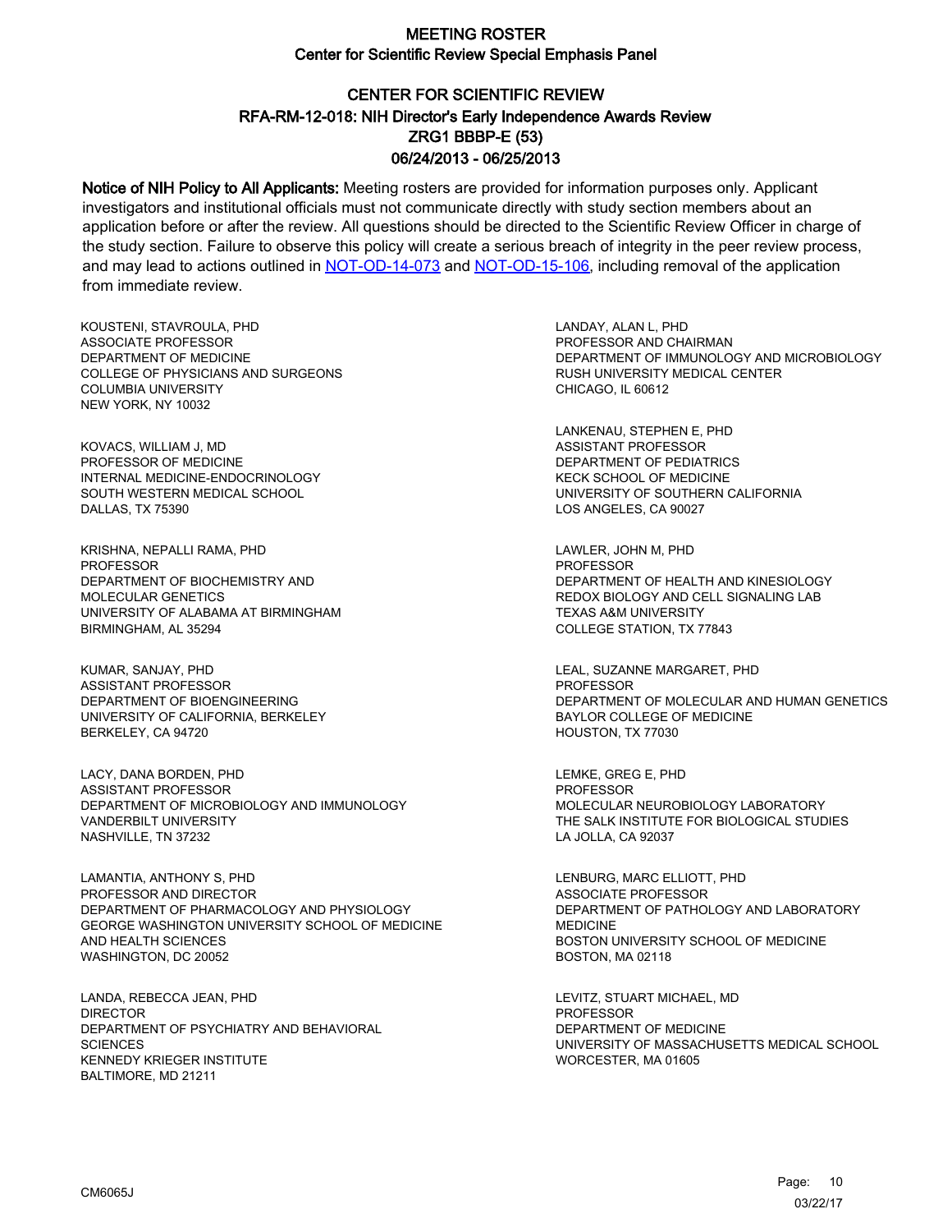# CENTER FOR SCIENTIFIC REVIEW ZRG1 BBBP-E (53) 06/24/2013 - 06/25/2013 RFA-RM-12-018: NIH Director's Early Independence Awards Review

Notice of NIH Policy to All Applicants: Meeting rosters are provided for information purposes only. Applicant investigators and institutional officials must not communicate directly with study section members about an application before or after the review. All questions should be directed to the Scientific Review Officer in charge of the study section. Failure to observe this policy will create a serious breach of integrity in the peer review process, and may lead to actions outlined in [NOT-OD-14-073](https://grants.nih.gov/grants/guide/notice-files/NOT-OD-14-073.html) and [NOT-OD-15-106,](https://grants.nih.gov/grants/guide/notice-files/NOT-OD-15-106.html) including removal of the application from immediate review.

KOUSTENI, STAVROULA, PHD ASSOCIATE PROFESSOR DEPARTMENT OF MEDICINE COLLEGE OF PHYSICIANS AND SURGEONS COLUMBIA UNIVERSITY NEW YORK, NY 10032

KOVACS, WILLIAM J, MD PROFESSOR OF MEDICINE INTERNAL MEDICINE-ENDOCRINOLOGY SOUTH WESTERN MEDICAL SCHOOL DALLAS, TX 75390

KRISHNA, NEPALLI RAMA, PHD PROFESSOR DEPARTMENT OF BIOCHEMISTRY AND MOLECULAR GENETICS UNIVERSITY OF ALABAMA AT BIRMINGHAM BIRMINGHAM, AL 35294

KUMAR, SANJAY, PHD ASSISTANT PROFESSOR DEPARTMENT OF BIOENGINEERING UNIVERSITY OF CALIFORNIA, BERKELEY BERKELEY, CA 94720

LACY, DANA BORDEN, PHD ASSISTANT PROFESSOR DEPARTMENT OF MICROBIOLOGY AND IMMUNOLOGY VANDERBILT UNIVERSITY NASHVILLE, TN 37232

LAMANTIA, ANTHONY S, PHD PROFESSOR AND DIRECTOR DEPARTMENT OF PHARMACOLOGY AND PHYSIOLOGY GEORGE WASHINGTON UNIVERSITY SCHOOL OF MEDICINE AND HEALTH SCIENCES WASHINGTON, DC 20052

LANDA, REBECCA JEAN, PHD DIRECTOR DEPARTMENT OF PSYCHIATRY AND BEHAVIORAL **SCIENCES** KENNEDY KRIEGER INSTITUTE BALTIMORE, MD 21211

LANDAY, ALAN L, PHD PROFESSOR AND CHAIRMAN DEPARTMENT OF IMMUNOLOGY AND MICROBIOLOGY RUSH UNIVERSITY MEDICAL CENTER CHICAGO, IL 60612

LANKENAU, STEPHEN E, PHD ASSISTANT PROFESSOR DEPARTMENT OF PEDIATRICS KECK SCHOOL OF MEDICINE UNIVERSITY OF SOUTHERN CALIFORNIA LOS ANGELES, CA 90027

LAWLER, JOHN M, PHD PROFESSOR DEPARTMENT OF HEALTH AND KINESIOLOGY REDOX BIOLOGY AND CELL SIGNALING LAB TEXAS A&M UNIVERSITY COLLEGE STATION, TX 77843

LEAL, SUZANNE MARGARET, PHD PROFESSOR DEPARTMENT OF MOLECULAR AND HUMAN GENETICS BAYLOR COLLEGE OF MEDICINE HOUSTON, TX 77030

LEMKE, GREG E, PHD PROFESSOR MOLECULAR NEUROBIOLOGY LABORATORY THE SALK INSTITUTE FOR BIOLOGICAL STUDIES LA JOLLA, CA 92037

LENBURG, MARC ELLIOTT, PHD ASSOCIATE PROFESSOR DEPARTMENT OF PATHOLOGY AND LABORATORY MEDICINE BOSTON UNIVERSITY SCHOOL OF MEDICINE BOSTON, MA 02118

LEVITZ, STUART MICHAEL, MD PROFESSOR DEPARTMENT OF MEDICINE UNIVERSITY OF MASSACHUSETTS MEDICAL SCHOOL WORCESTER, MA 01605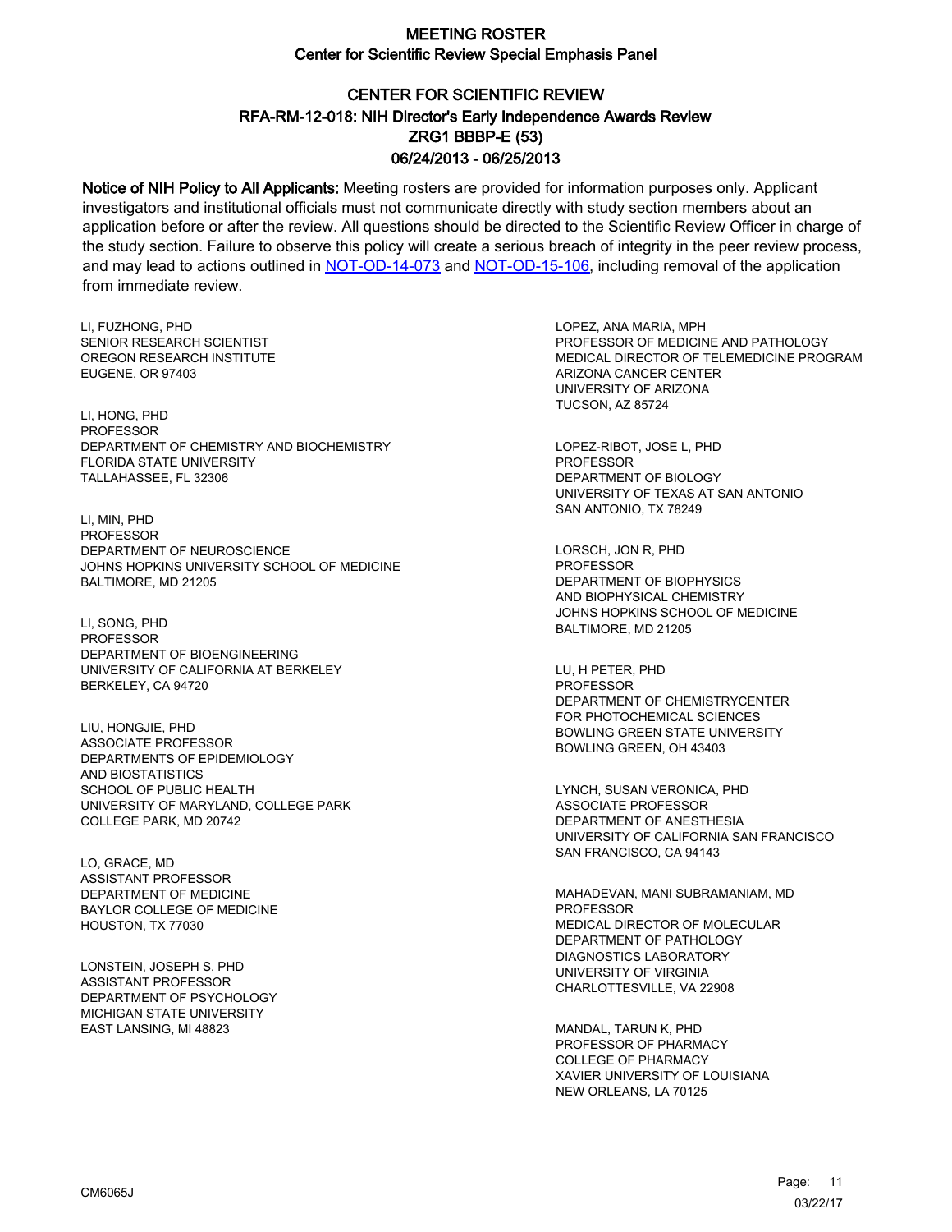# CENTER FOR SCIENTIFIC REVIEW ZRG1 BBBP-E (53) 06/24/2013 - 06/25/2013 RFA-RM-12-018: NIH Director's Early Independence Awards Review

Notice of NIH Policy to All Applicants: Meeting rosters are provided for information purposes only. Applicant investigators and institutional officials must not communicate directly with study section members about an application before or after the review. All questions should be directed to the Scientific Review Officer in charge of the study section. Failure to observe this policy will create a serious breach of integrity in the peer review process, and may lead to actions outlined in [NOT-OD-14-073](https://grants.nih.gov/grants/guide/notice-files/NOT-OD-14-073.html) and [NOT-OD-15-106,](https://grants.nih.gov/grants/guide/notice-files/NOT-OD-15-106.html) including removal of the application from immediate review.

LI, FUZHONG, PHD SENIOR RESEARCH SCIENTIST OREGON RESEARCH INSTITUTE EUGENE, OR 97403

LI, HONG, PHD PROFESSOR DEPARTMENT OF CHEMISTRY AND BIOCHEMISTRY FLORIDA STATE UNIVERSITY TALLAHASSEE, FL 32306

LI, MIN, PHD PROFESSOR DEPARTMENT OF NEUROSCIENCE JOHNS HOPKINS UNIVERSITY SCHOOL OF MEDICINE BALTIMORE, MD 21205

LI, SONG, PHD PROFESSOR DEPARTMENT OF BIOENGINEERING UNIVERSITY OF CALIFORNIA AT BERKELEY BERKELEY, CA 94720

LIU, HONGJIE, PHD ASSOCIATE PROFESSOR DEPARTMENTS OF EPIDEMIOLOGY AND BIOSTATISTICS SCHOOL OF PUBLIC HEALTH UNIVERSITY OF MARYLAND, COLLEGE PARK COLLEGE PARK, MD 20742

LO, GRACE, MD ASSISTANT PROFESSOR DEPARTMENT OF MEDICINE BAYLOR COLLEGE OF MEDICINE HOUSTON, TX 77030

LONSTEIN, JOSEPH S, PHD ASSISTANT PROFESSOR DEPARTMENT OF PSYCHOLOGY MICHIGAN STATE UNIVERSITY EAST LANSING, MI 48823

LOPEZ, ANA MARIA, MPH PROFESSOR OF MEDICINE AND PATHOLOGY MEDICAL DIRECTOR OF TELEMEDICINE PROGRAM ARIZONA CANCER CENTER UNIVERSITY OF ARIZONA TUCSON, AZ 85724

LOPEZ-RIBOT, JOSE L, PHD PROFESSOR DEPARTMENT OF BIOLOGY UNIVERSITY OF TEXAS AT SAN ANTONIO SAN ANTONIO, TX 78249

LORSCH, JON R, PHD PROFESSOR DEPARTMENT OF BIOPHYSICS AND BIOPHYSICAL CHEMISTRY JOHNS HOPKINS SCHOOL OF MEDICINE BALTIMORE, MD 21205

LU, H PETER, PHD PROFESSOR DEPARTMENT OF CHEMISTRYCENTER FOR PHOTOCHEMICAL SCIENCES BOWLING GREEN STATE UNIVERSITY BOWLING GREEN, OH 43403

LYNCH, SUSAN VERONICA, PHD ASSOCIATE PROFESSOR DEPARTMENT OF ANESTHESIA UNIVERSITY OF CALIFORNIA SAN FRANCISCO SAN FRANCISCO, CA 94143

MAHADEVAN, MANI SUBRAMANIAM, MD **PROFESSOR** MEDICAL DIRECTOR OF MOLECULAR DEPARTMENT OF PATHOLOGY DIAGNOSTICS LABORATORY UNIVERSITY OF VIRGINIA CHARLOTTESVILLE, VA 22908

MANDAL, TARUN K, PHD PROFESSOR OF PHARMACY COLLEGE OF PHARMACY XAVIER UNIVERSITY OF LOUISIANA NEW ORLEANS, LA 70125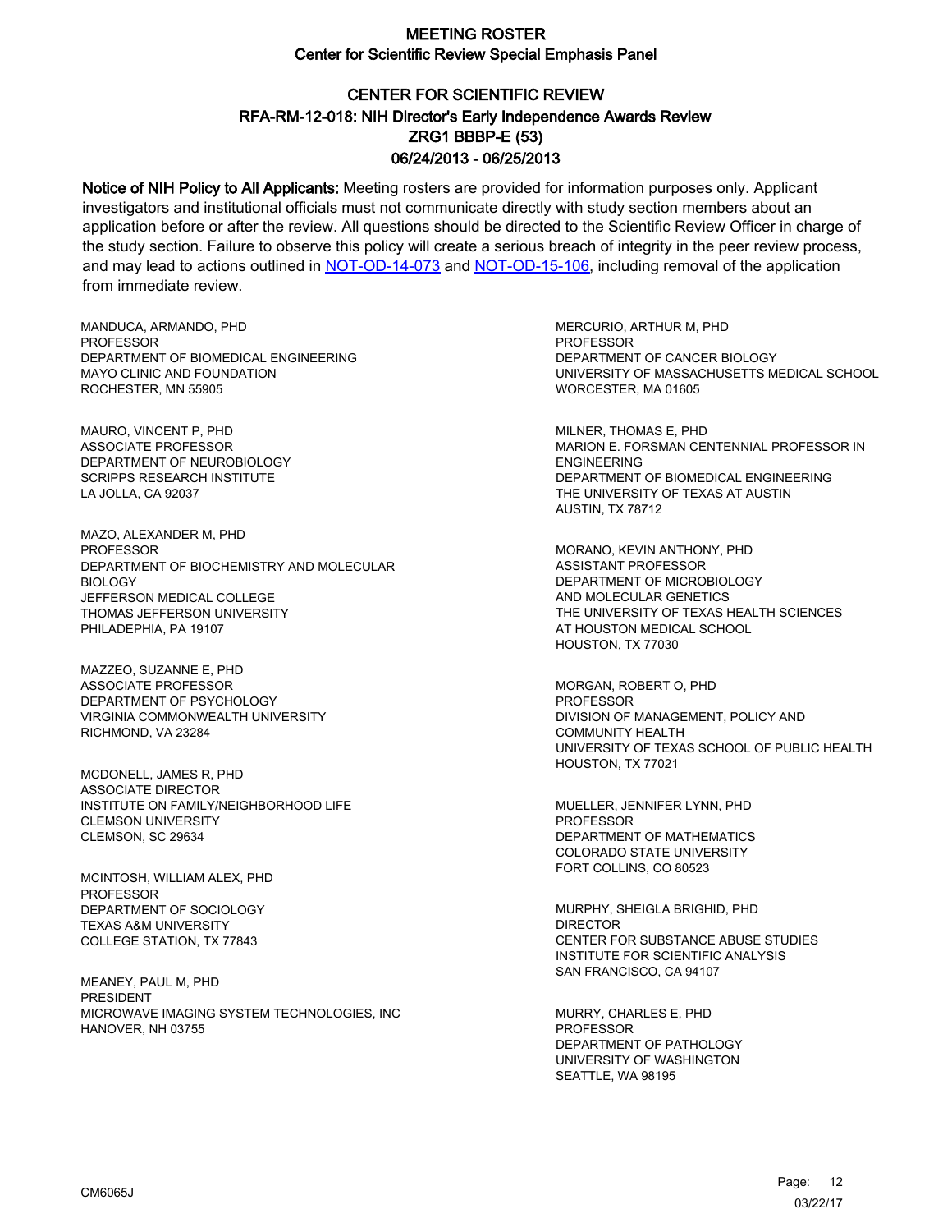# CENTER FOR SCIENTIFIC REVIEW ZRG1 BBBP-E (53) 06/24/2013 - 06/25/2013 RFA-RM-12-018: NIH Director's Early Independence Awards Review

Notice of NIH Policy to All Applicants: Meeting rosters are provided for information purposes only. Applicant investigators and institutional officials must not communicate directly with study section members about an application before or after the review. All questions should be directed to the Scientific Review Officer in charge of the study section. Failure to observe this policy will create a serious breach of integrity in the peer review process, and may lead to actions outlined in [NOT-OD-14-073](https://grants.nih.gov/grants/guide/notice-files/NOT-OD-14-073.html) and [NOT-OD-15-106,](https://grants.nih.gov/grants/guide/notice-files/NOT-OD-15-106.html) including removal of the application from immediate review.

MANDUCA, ARMANDO, PHD **PROFESSOR** DEPARTMENT OF BIOMEDICAL ENGINEERING MAYO CLINIC AND FOUNDATION ROCHESTER, MN 55905

MAURO, VINCENT P, PHD ASSOCIATE PROFESSOR DEPARTMENT OF NEUROBIOLOGY SCRIPPS RESEARCH INSTITUTE LA JOLLA, CA 92037

MAZO, ALEXANDER M, PHD **PROFESSOR** DEPARTMENT OF BIOCHEMISTRY AND MOLECULAR BIOLOGY JEFFERSON MEDICAL COLLEGE THOMAS JEFFERSON UNIVERSITY PHILADEPHIA, PA 19107

MAZZEO, SUZANNE E, PHD ASSOCIATE PROFESSOR DEPARTMENT OF PSYCHOLOGY VIRGINIA COMMONWEALTH UNIVERSITY RICHMOND, VA 23284

MCDONELL, JAMES R, PHD ASSOCIATE DIRECTOR INSTITUTE ON FAMILY/NEIGHBORHOOD LIFE CLEMSON UNIVERSITY CLEMSON, SC 29634

MCINTOSH, WILLIAM ALEX, PHD PROFESSOR DEPARTMENT OF SOCIOLOGY TEXAS A&M UNIVERSITY COLLEGE STATION, TX 77843

MEANEY, PAUL M, PHD PRESIDENT MICROWAVE IMAGING SYSTEM TECHNOLOGIES, INC HANOVER, NH 03755

MERCURIO, ARTHUR M, PHD **PROFESSOR** DEPARTMENT OF CANCER BIOLOGY UNIVERSITY OF MASSACHUSETTS MEDICAL SCHOOL WORCESTER, MA 01605

MILNER, THOMAS E, PHD MARION E. FORSMAN CENTENNIAL PROFESSOR IN ENGINEERING DEPARTMENT OF BIOMEDICAL ENGINEERING THE UNIVERSITY OF TEXAS AT AUSTIN AUSTIN, TX 78712

MORANO, KEVIN ANTHONY, PHD ASSISTANT PROFESSOR DEPARTMENT OF MICROBIOLOGY AND MOLECULAR GENETICS THE UNIVERSITY OF TEXAS HEALTH SCIENCES AT HOUSTON MEDICAL SCHOOL HOUSTON, TX 77030

MORGAN, ROBERT O, PHD PROFESSOR DIVISION OF MANAGEMENT, POLICY AND COMMUNITY HEALTH UNIVERSITY OF TEXAS SCHOOL OF PUBLIC HEALTH HOUSTON, TX 77021

MUELLER, JENNIFER LYNN, PHD PROFESSOR DEPARTMENT OF MATHEMATICS COLORADO STATE UNIVERSITY FORT COLLINS, CO 80523

MURPHY, SHEIGLA BRIGHID, PHD DIRECTOR CENTER FOR SUBSTANCE ABUSE STUDIES INSTITUTE FOR SCIENTIFIC ANALYSIS SAN FRANCISCO, CA 94107

MURRY, CHARLES E, PHD PROFESSOR DEPARTMENT OF PATHOLOGY UNIVERSITY OF WASHINGTON SEATTLE, WA 98195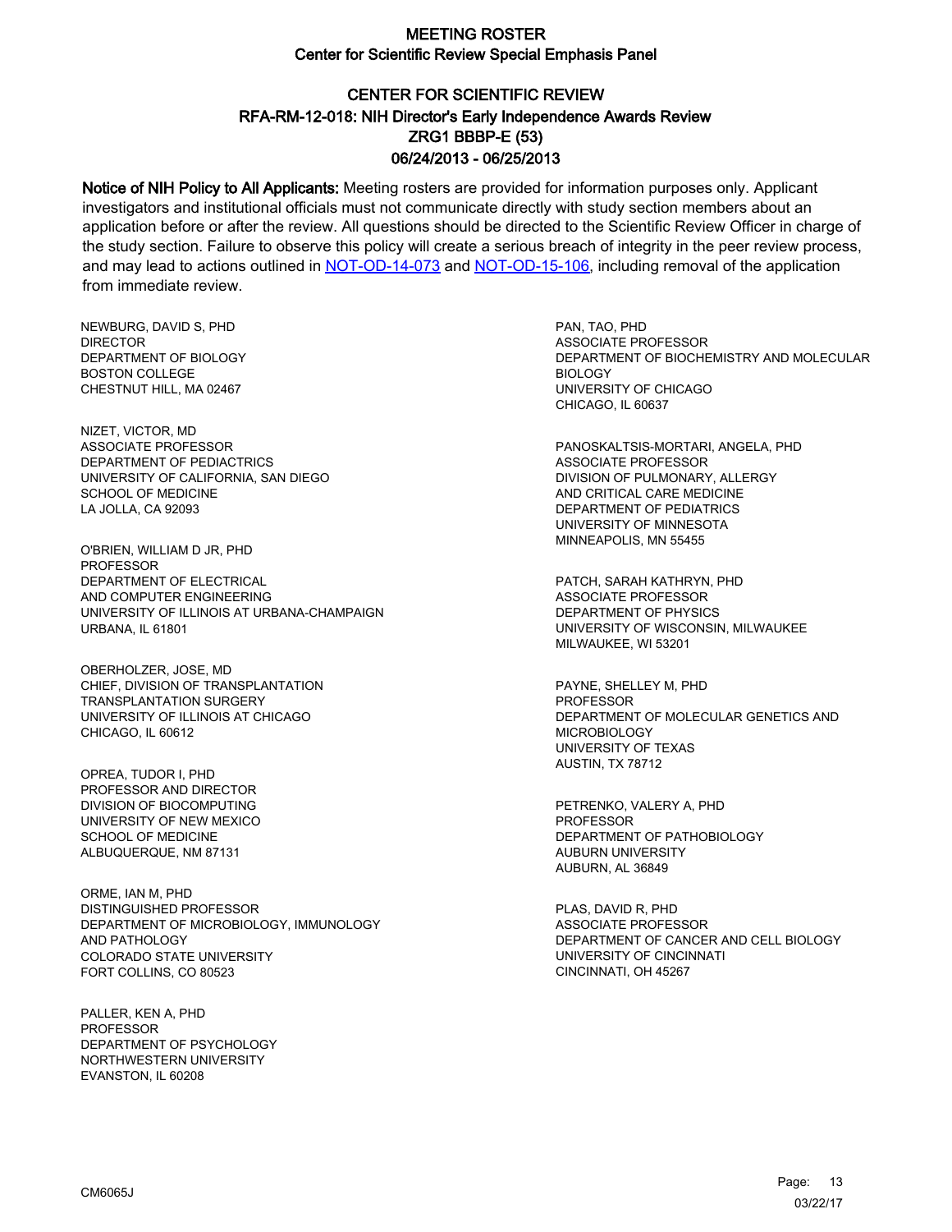# CENTER FOR SCIENTIFIC REVIEW ZRG1 BBBP-E (53) 06/24/2013 - 06/25/2013 RFA-RM-12-018: NIH Director's Early Independence Awards Review

Notice of NIH Policy to All Applicants: Meeting rosters are provided for information purposes only. Applicant investigators and institutional officials must not communicate directly with study section members about an application before or after the review. All questions should be directed to the Scientific Review Officer in charge of the study section. Failure to observe this policy will create a serious breach of integrity in the peer review process, and may lead to actions outlined in [NOT-OD-14-073](https://grants.nih.gov/grants/guide/notice-files/NOT-OD-14-073.html) and [NOT-OD-15-106,](https://grants.nih.gov/grants/guide/notice-files/NOT-OD-15-106.html) including removal of the application from immediate review.

NEWBURG, DAVID S, PHD **DIRECTOR** DEPARTMENT OF BIOLOGY BOSTON COLLEGE CHESTNUT HILL, MA 02467

NIZET, VICTOR, MD ASSOCIATE PROFESSOR DEPARTMENT OF PEDIACTRICS UNIVERSITY OF CALIFORNIA, SAN DIEGO SCHOOL OF MEDICINE LA JOLLA, CA 92093

O'BRIEN, WILLIAM D JR, PHD PROFESSOR DEPARTMENT OF ELECTRICAL AND COMPUTER ENGINEERING UNIVERSITY OF ILLINOIS AT URBANA-CHAMPAIGN URBANA, IL 61801

OBERHOLZER, JOSE, MD CHIEF, DIVISION OF TRANSPLANTATION TRANSPLANTATION SURGERY UNIVERSITY OF ILLINOIS AT CHICAGO CHICAGO, IL 60612

OPREA, TUDOR I, PHD PROFESSOR AND DIRECTOR DIVISION OF BIOCOMPUTING UNIVERSITY OF NEW MEXICO SCHOOL OF MEDICINE ALBUQUERQUE, NM 87131

ORME, IAN M, PHD DISTINGUISHED PROFESSOR DEPARTMENT OF MICROBIOLOGY, IMMUNOLOGY AND PATHOLOGY COLORADO STATE UNIVERSITY FORT COLLINS, CO 80523

PALLER, KEN A, PHD PROFESSOR DEPARTMENT OF PSYCHOLOGY NORTHWESTERN UNIVERSITY EVANSTON, IL 60208

PAN, TAO, PHD ASSOCIATE PROFESSOR DEPARTMENT OF BIOCHEMISTRY AND MOLECULAR BIOLOGY UNIVERSITY OF CHICAGO CHICAGO, IL 60637

PANOSKALTSIS-MORTARI, ANGELA, PHD ASSOCIATE PROFESSOR DIVISION OF PULMONARY, ALLERGY AND CRITICAL CARE MEDICINE DEPARTMENT OF PEDIATRICS UNIVERSITY OF MINNESOTA MINNEAPOLIS, MN 55455

PATCH, SARAH KATHRYN, PHD ASSOCIATE PROFESSOR DEPARTMENT OF PHYSICS UNIVERSITY OF WISCONSIN, MILWAUKEE MILWAUKEE, WI 53201

PAYNE, SHELLEY M, PHD PROFESSOR DEPARTMENT OF MOLECULAR GENETICS AND MICROBIOLOGY UNIVERSITY OF TEXAS AUSTIN, TX 78712

PETRENKO, VALERY A, PHD PROFESSOR DEPARTMENT OF PATHOBIOLOGY AUBURN UNIVERSITY AUBURN, AL 36849

PLAS, DAVID R, PHD ASSOCIATE PROFESSOR DEPARTMENT OF CANCER AND CELL BIOLOGY UNIVERSITY OF CINCINNATI CINCINNATI, OH 45267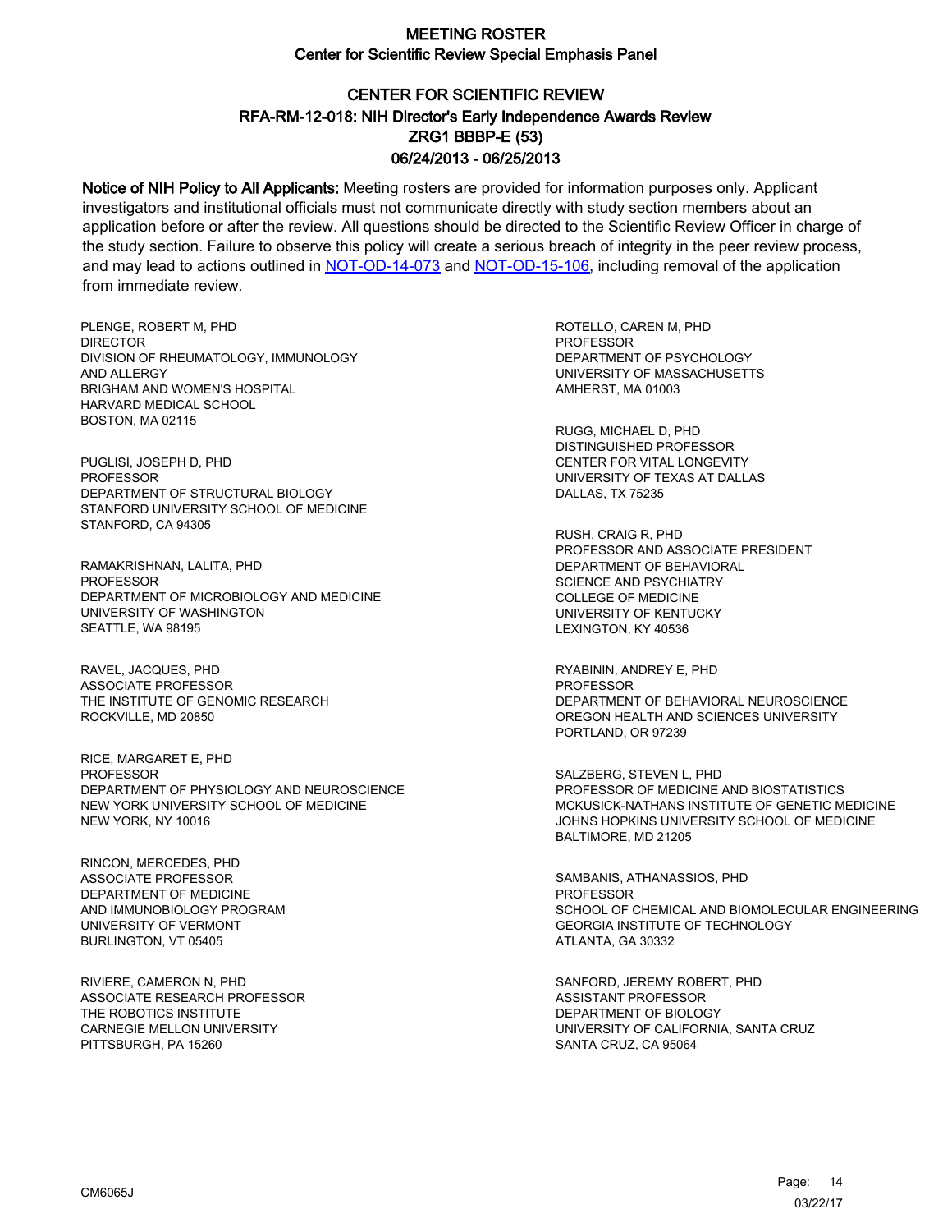# CENTER FOR SCIENTIFIC REVIEW ZRG1 BBBP-E (53) 06/24/2013 - 06/25/2013 RFA-RM-12-018: NIH Director's Early Independence Awards Review

Notice of NIH Policy to All Applicants: Meeting rosters are provided for information purposes only. Applicant investigators and institutional officials must not communicate directly with study section members about an application before or after the review. All questions should be directed to the Scientific Review Officer in charge of the study section. Failure to observe this policy will create a serious breach of integrity in the peer review process, and may lead to actions outlined in [NOT-OD-14-073](https://grants.nih.gov/grants/guide/notice-files/NOT-OD-14-073.html) and [NOT-OD-15-106,](https://grants.nih.gov/grants/guide/notice-files/NOT-OD-15-106.html) including removal of the application from immediate review.

PLENGE, ROBERT M, PHD **DIRECTOR** DIVISION OF RHEUMATOLOGY, IMMUNOLOGY AND ALLERGY BRIGHAM AND WOMEN'S HOSPITAL HARVARD MEDICAL SCHOOL BOSTON, MA 02115

PUGLISI, JOSEPH D, PHD PROFESSOR DEPARTMENT OF STRUCTURAL BIOLOGY STANFORD UNIVERSITY SCHOOL OF MEDICINE STANFORD, CA 94305

RAMAKRISHNAN, LALITA, PHD **PROFESSOR** DEPARTMENT OF MICROBIOLOGY AND MEDICINE UNIVERSITY OF WASHINGTON SEATTLE, WA 98195

RAVEL, JACQUES, PHD ASSOCIATE PROFESSOR THE INSTITUTE OF GENOMIC RESEARCH ROCKVILLE, MD 20850

RICE, MARGARET E, PHD PROFESSOR DEPARTMENT OF PHYSIOLOGY AND NEUROSCIENCE NEW YORK UNIVERSITY SCHOOL OF MEDICINE NEW YORK, NY 10016

RINCON, MERCEDES, PHD ASSOCIATE PROFESSOR DEPARTMENT OF MEDICINE AND IMMUNOBIOLOGY PROGRAM UNIVERSITY OF VERMONT BURLINGTON, VT 05405

RIVIERE, CAMERON N, PHD ASSOCIATE RESEARCH PROFESSOR THE ROBOTICS INSTITUTE CARNEGIE MELLON UNIVERSITY PITTSBURGH, PA 15260

ROTELLO, CAREN M, PHD PROFESSOR DEPARTMENT OF PSYCHOLOGY UNIVERSITY OF MASSACHUSETTS AMHERST, MA 01003

RUGG, MICHAEL D, PHD DISTINGUISHED PROFESSOR CENTER FOR VITAL LONGEVITY UNIVERSITY OF TEXAS AT DALLAS DALLAS, TX 75235

RUSH, CRAIG R, PHD PROFESSOR AND ASSOCIATE PRESIDENT DEPARTMENT OF BEHAVIORAL SCIENCE AND PSYCHIATRY COLLEGE OF MEDICINE UNIVERSITY OF KENTUCKY LEXINGTON, KY 40536

RYABININ, ANDREY E, PHD PROFESSOR DEPARTMENT OF BEHAVIORAL NEUROSCIENCE OREGON HEALTH AND SCIENCES UNIVERSITY PORTLAND, OR 97239

SALZBERG, STEVEN L, PHD PROFESSOR OF MEDICINE AND BIOSTATISTICS MCKUSICK-NATHANS INSTITUTE OF GENETIC MEDICINE JOHNS HOPKINS UNIVERSITY SCHOOL OF MEDICINE BALTIMORE, MD 21205

SAMBANIS, ATHANASSIOS, PHD **PROFESSOR** SCHOOL OF CHEMICAL AND BIOMOLECULAR ENGINEERING GEORGIA INSTITUTE OF TECHNOLOGY ATLANTA, GA 30332

SANFORD, JEREMY ROBERT, PHD ASSISTANT PROFESSOR DEPARTMENT OF BIOLOGY UNIVERSITY OF CALIFORNIA, SANTA CRUZ SANTA CRUZ, CA 95064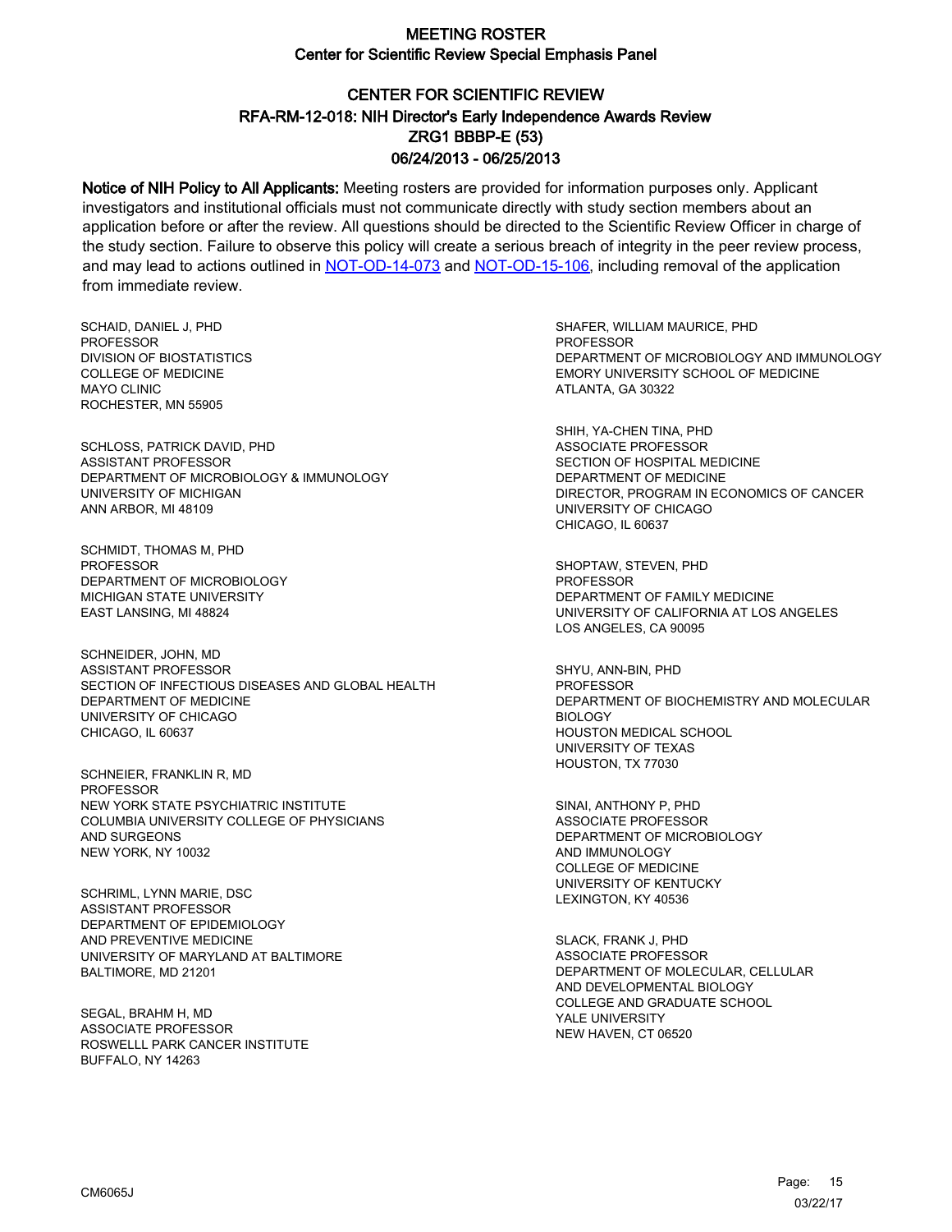# CENTER FOR SCIENTIFIC REVIEW ZRG1 BBBP-E (53) 06/24/2013 - 06/25/2013 RFA-RM-12-018: NIH Director's Early Independence Awards Review

Notice of NIH Policy to All Applicants: Meeting rosters are provided for information purposes only. Applicant investigators and institutional officials must not communicate directly with study section members about an application before or after the review. All questions should be directed to the Scientific Review Officer in charge of the study section. Failure to observe this policy will create a serious breach of integrity in the peer review process, and may lead to actions outlined in [NOT-OD-14-073](https://grants.nih.gov/grants/guide/notice-files/NOT-OD-14-073.html) and [NOT-OD-15-106,](https://grants.nih.gov/grants/guide/notice-files/NOT-OD-15-106.html) including removal of the application from immediate review.

SCHAID, DANIEL J, PHD **PROFESSOR** DIVISION OF BIOSTATISTICS COLLEGE OF MEDICINE MAYO CLINIC ROCHESTER, MN 55905

SCHLOSS, PATRICK DAVID, PHD ASSISTANT PROFESSOR DEPARTMENT OF MICROBIOLOGY & IMMUNOLOGY UNIVERSITY OF MICHIGAN ANN ARBOR, MI 48109

SCHMIDT, THOMAS M, PHD PROFESSOR DEPARTMENT OF MICROBIOLOGY MICHIGAN STATE UNIVERSITY EAST LANSING, MI 48824

SCHNEIDER, JOHN, MD ASSISTANT PROFESSOR SECTION OF INFECTIOUS DISEASES AND GLOBAL HEALTH DEPARTMENT OF MEDICINE UNIVERSITY OF CHICAGO CHICAGO, IL 60637

SCHNEIER, FRANKLIN R, MD PROFESSOR NEW YORK STATE PSYCHIATRIC INSTITUTE COLUMBIA UNIVERSITY COLLEGE OF PHYSICIANS AND SURGEONS NEW YORK, NY 10032

SCHRIML, LYNN MARIE, DSC ASSISTANT PROFESSOR DEPARTMENT OF EPIDEMIOLOGY AND PREVENTIVE MEDICINE UNIVERSITY OF MARYLAND AT BALTIMORE BALTIMORE, MD 21201

SEGAL, BRAHM H, MD ASSOCIATE PROFESSOR ROSWELLL PARK CANCER INSTITUTE BUFFALO, NY 14263

SHAFER, WILLIAM MAURICE, PHD PROFESSOR DEPARTMENT OF MICROBIOLOGY AND IMMUNOLOGY EMORY UNIVERSITY SCHOOL OF MEDICINE ATLANTA, GA 30322

SHIH, YA-CHEN TINA, PHD ASSOCIATE PROFESSOR SECTION OF HOSPITAL MEDICINE DEPARTMENT OF MEDICINE DIRECTOR, PROGRAM IN ECONOMICS OF CANCER UNIVERSITY OF CHICAGO CHICAGO, IL 60637

SHOPTAW, STEVEN, PHD **PROFESSOR** DEPARTMENT OF FAMILY MEDICINE UNIVERSITY OF CALIFORNIA AT LOS ANGELES LOS ANGELES, CA 90095

SHYU, ANN-BIN, PHD PROFESSOR DEPARTMENT OF BIOCHEMISTRY AND MOLECULAR BIOLOGY HOUSTON MEDICAL SCHOOL UNIVERSITY OF TEXAS HOUSTON, TX 77030

SINAI, ANTHONY P, PHD ASSOCIATE PROFESSOR DEPARTMENT OF MICROBIOLOGY AND IMMUNOLOGY COLLEGE OF MEDICINE UNIVERSITY OF KENTUCKY LEXINGTON, KY 40536

SLACK, FRANK J, PHD ASSOCIATE PROFESSOR DEPARTMENT OF MOLECULAR, CELLULAR AND DEVELOPMENTAL BIOLOGY COLLEGE AND GRADUATE SCHOOL YALE UNIVERSITY NEW HAVEN, CT 06520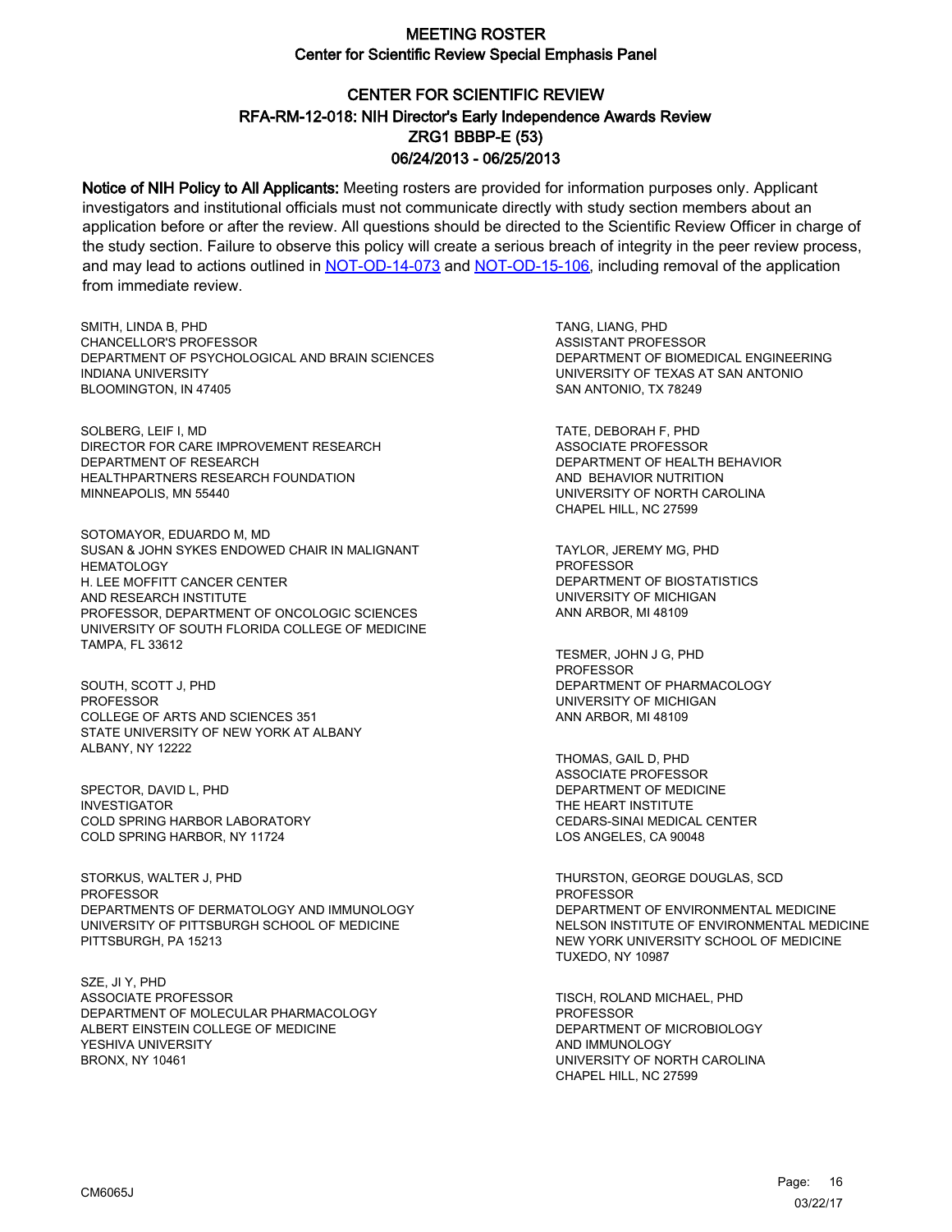# CENTER FOR SCIENTIFIC REVIEW ZRG1 BBBP-E (53) 06/24/2013 - 06/25/2013 RFA-RM-12-018: NIH Director's Early Independence Awards Review

Notice of NIH Policy to All Applicants: Meeting rosters are provided for information purposes only. Applicant investigators and institutional officials must not communicate directly with study section members about an application before or after the review. All questions should be directed to the Scientific Review Officer in charge of the study section. Failure to observe this policy will create a serious breach of integrity in the peer review process, and may lead to actions outlined in [NOT-OD-14-073](https://grants.nih.gov/grants/guide/notice-files/NOT-OD-14-073.html) and [NOT-OD-15-106,](https://grants.nih.gov/grants/guide/notice-files/NOT-OD-15-106.html) including removal of the application from immediate review.

SMITH, LINDA B, PHD CHANCELLOR'S PROFESSOR DEPARTMENT OF PSYCHOLOGICAL AND BRAIN SCIENCES INDIANA UNIVERSITY BLOOMINGTON, IN 47405

SOLBERG, LEIF I, MD DIRECTOR FOR CARE IMPROVEMENT RESEARCH DEPARTMENT OF RESEARCH HEALTHPARTNERS RESEARCH FOUNDATION MINNEAPOLIS, MN 55440

SOTOMAYOR, EDUARDO M, MD SUSAN & JOHN SYKES ENDOWED CHAIR IN MALIGNANT **HEMATOLOGY** H. LEE MOFFITT CANCER CENTER AND RESEARCH INSTITUTE PROFESSOR, DEPARTMENT OF ONCOLOGIC SCIENCES UNIVERSITY OF SOUTH FLORIDA COLLEGE OF MEDICINE TAMPA, FL 33612

SOUTH, SCOTT J, PHD **PROFESSOR** COLLEGE OF ARTS AND SCIENCES 351 STATE UNIVERSITY OF NEW YORK AT ALBANY ALBANY, NY 12222

SPECTOR, DAVID L, PHD INVESTIGATOR COLD SPRING HARBOR LABORATORY COLD SPRING HARBOR, NY 11724

STORKUS, WALTER J, PHD PROFESSOR DEPARTMENTS OF DERMATOLOGY AND IMMUNOLOGY UNIVERSITY OF PITTSBURGH SCHOOL OF MEDICINE PITTSBURGH, PA 15213

SZE, JI Y, PHD ASSOCIATE PROFESSOR DEPARTMENT OF MOLECULAR PHARMACOLOGY ALBERT EINSTEIN COLLEGE OF MEDICINE YESHIVA UNIVERSITY BRONX, NY 10461

TANG, LIANG, PHD ASSISTANT PROFESSOR DEPARTMENT OF BIOMEDICAL ENGINEERING UNIVERSITY OF TEXAS AT SAN ANTONIO SAN ANTONIO, TX 78249

TATE, DEBORAH F, PHD ASSOCIATE PROFESSOR DEPARTMENT OF HEALTH BEHAVIOR AND BEHAVIOR NUTRITION UNIVERSITY OF NORTH CAROLINA CHAPEL HILL, NC 27599

TAYLOR, JEREMY MG, PHD PROFESSOR DEPARTMENT OF BIOSTATISTICS UNIVERSITY OF MICHIGAN ANN ARBOR, MI 48109

TESMER, JOHN J G, PHD PROFESSOR DEPARTMENT OF PHARMACOLOGY UNIVERSITY OF MICHIGAN ANN ARBOR, MI 48109

THOMAS, GAIL D, PHD ASSOCIATE PROFESSOR DEPARTMENT OF MEDICINE THE HEART INSTITUTE CEDARS-SINAI MEDICAL CENTER LOS ANGELES, CA 90048

THURSTON, GEORGE DOUGLAS, SCD PROFESSOR DEPARTMENT OF ENVIRONMENTAL MEDICINE NELSON INSTITUTE OF ENVIRONMENTAL MEDICINE NEW YORK UNIVERSITY SCHOOL OF MEDICINE TUXEDO, NY 10987

TISCH, ROLAND MICHAEL, PHD **PROFESSOR** DEPARTMENT OF MICROBIOLOGY AND IMMUNOLOGY UNIVERSITY OF NORTH CAROLINA CHAPEL HILL, NC 27599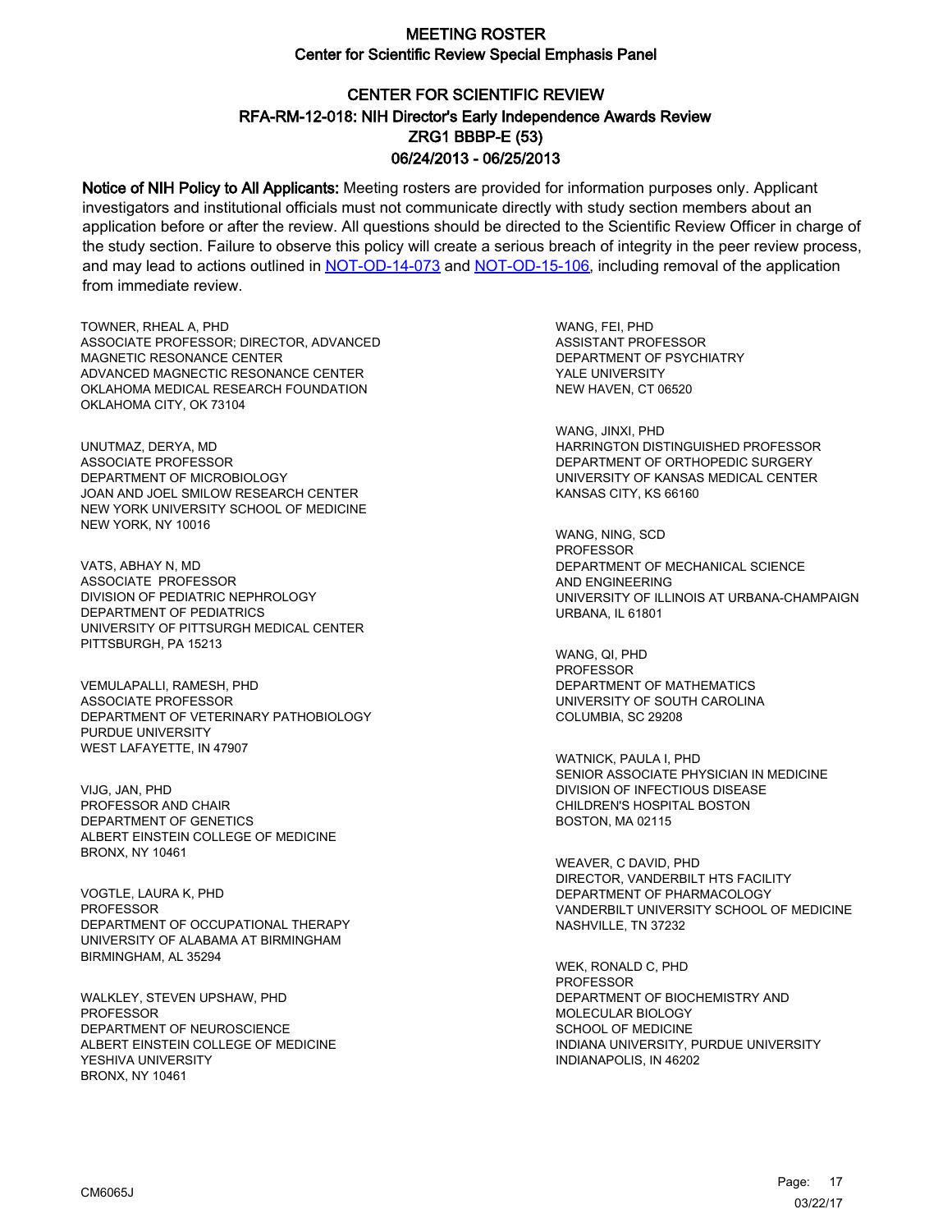# CENTER FOR SCIENTIFIC REVIEW ZRG1 BBBP-E (53) 06/24/2013 - 06/25/2013 RFA-RM-12-018: NIH Director's Early Independence Awards Review

Notice of NIH Policy to All Applicants: Meeting rosters are provided for information purposes only. Applicant investigators and institutional officials must not communicate directly with study section members about an application before or after the review. All questions should be directed to the Scientific Review Officer in charge of the study section. Failure to observe this policy will create a serious breach of integrity in the peer review process, and may lead to actions outlined in [NOT-OD-14-073](https://grants.nih.gov/grants/guide/notice-files/NOT-OD-14-073.html) and [NOT-OD-15-106,](https://grants.nih.gov/grants/guide/notice-files/NOT-OD-15-106.html) including removal of the application from immediate review.

TOWNER, RHEAL A, PHD ASSOCIATE PROFESSOR; DIRECTOR, ADVANCED MAGNETIC RESONANCE CENTER ADVANCED MAGNECTIC RESONANCE CENTER OKLAHOMA MEDICAL RESEARCH FOUNDATION OKLAHOMA CITY, OK 73104

UNUTMAZ, DERYA, MD ASSOCIATE PROFESSOR DEPARTMENT OF MICROBIOLOGY JOAN AND JOEL SMILOW RESEARCH CENTER NEW YORK UNIVERSITY SCHOOL OF MEDICINE NEW YORK, NY 10016

VATS, ABHAY N, MD ASSOCIATE PROFESSOR DIVISION OF PEDIATRIC NEPHROLOGY DEPARTMENT OF PEDIATRICS UNIVERSITY OF PITTSURGH MEDICAL CENTER PITTSBURGH, PA 15213

VEMULAPALLI, RAMESH, PHD ASSOCIATE PROFESSOR DEPARTMENT OF VETERINARY PATHOBIOLOGY PURDUE UNIVERSITY WEST LAFAYETTE, IN 47907

VIJG, JAN, PHD PROFESSOR AND CHAIR DEPARTMENT OF GENETICS ALBERT EINSTEIN COLLEGE OF MEDICINE BRONX, NY 10461

VOGTLE, LAURA K, PHD **PROFESSOR** DEPARTMENT OF OCCUPATIONAL THERAPY UNIVERSITY OF ALABAMA AT BIRMINGHAM BIRMINGHAM, AL 35294

WALKLEY, STEVEN UPSHAW, PHD **PROFESSOR** DEPARTMENT OF NEUROSCIENCE ALBERT EINSTEIN COLLEGE OF MEDICINE YESHIVA UNIVERSITY BRONX, NY 10461

WANG, FEI, PHD ASSISTANT PROFESSOR DEPARTMENT OF PSYCHIATRY YALE UNIVERSITY NEW HAVEN, CT 06520

WANG, JINXI, PHD HARRINGTON DISTINGUISHED PROFESSOR DEPARTMENT OF ORTHOPEDIC SURGERY UNIVERSITY OF KANSAS MEDICAL CENTER KANSAS CITY, KS 66160

WANG, NING, SCD PROFESSOR DEPARTMENT OF MECHANICAL SCIENCE AND ENGINEERING UNIVERSITY OF ILLINOIS AT URBANA-CHAMPAIGN URBANA, IL 61801

WANG, QI, PHD PROFESSOR DEPARTMENT OF MATHEMATICS UNIVERSITY OF SOUTH CAROLINA COLUMBIA, SC 29208

WATNICK, PAULA I, PHD SENIOR ASSOCIATE PHYSICIAN IN MEDICINE DIVISION OF INFECTIOUS DISEASE CHILDREN'S HOSPITAL BOSTON BOSTON, MA 02115

WEAVER, C DAVID, PHD DIRECTOR, VANDERBILT HTS FACILITY DEPARTMENT OF PHARMACOLOGY VANDERBILT UNIVERSITY SCHOOL OF MEDICINE NASHVILLE, TN 37232

WEK, RONALD C, PHD PROFESSOR DEPARTMENT OF BIOCHEMISTRY AND MOLECULAR BIOLOGY SCHOOL OF MEDICINE INDIANA UNIVERSITY, PURDUE UNIVERSITY INDIANAPOLIS, IN 46202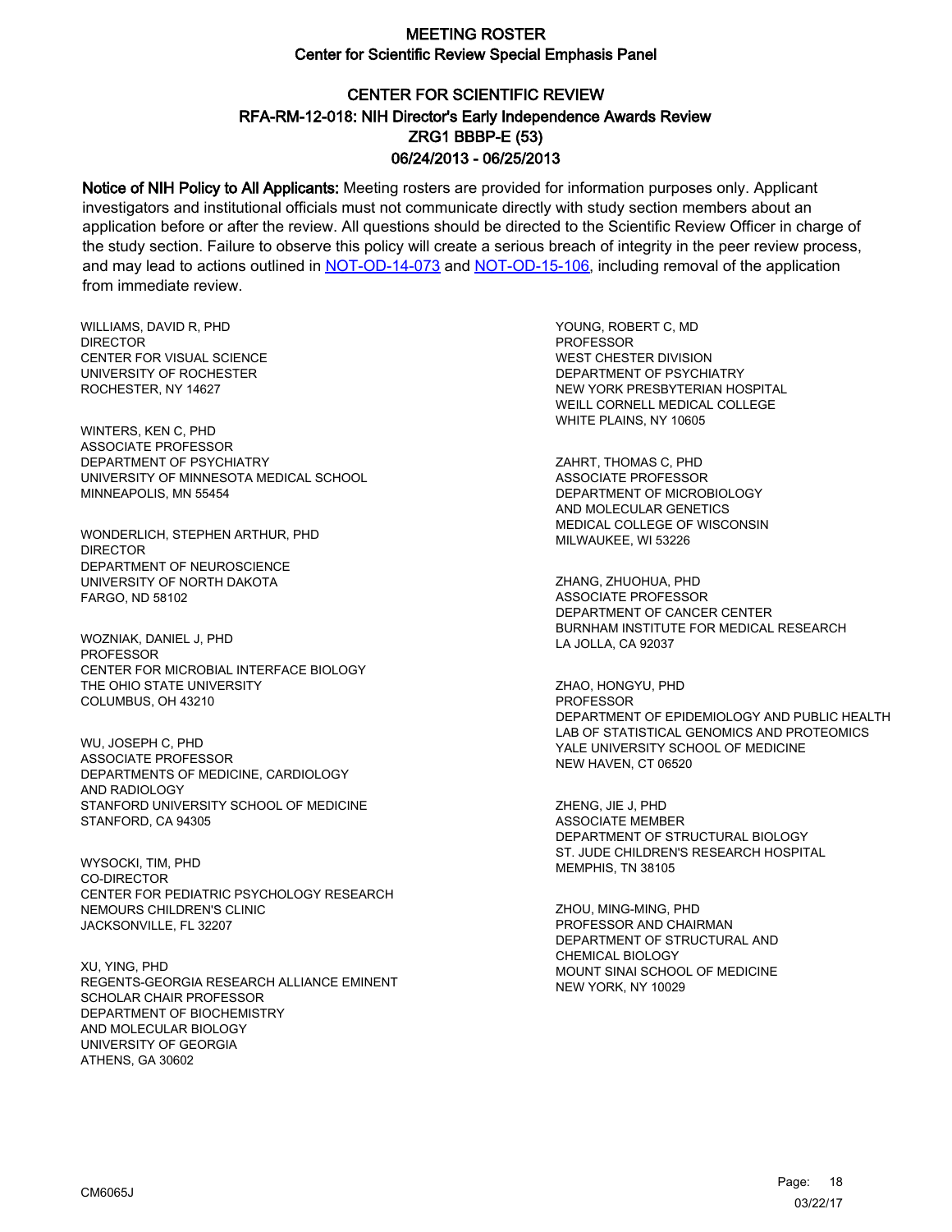# CENTER FOR SCIENTIFIC REVIEW ZRG1 BBBP-E (53) 06/24/2013 - 06/25/2013 RFA-RM-12-018: NIH Director's Early Independence Awards Review

Notice of NIH Policy to All Applicants: Meeting rosters are provided for information purposes only. Applicant investigators and institutional officials must not communicate directly with study section members about an application before or after the review. All questions should be directed to the Scientific Review Officer in charge of the study section. Failure to observe this policy will create a serious breach of integrity in the peer review process, and may lead to actions outlined in [NOT-OD-14-073](https://grants.nih.gov/grants/guide/notice-files/NOT-OD-14-073.html) and [NOT-OD-15-106,](https://grants.nih.gov/grants/guide/notice-files/NOT-OD-15-106.html) including removal of the application from immediate review.

WILLIAMS, DAVID R, PHD DIRECTOR CENTER FOR VISUAL SCIENCE UNIVERSITY OF ROCHESTER ROCHESTER, NY 14627

WINTERS, KEN C, PHD ASSOCIATE PROFESSOR DEPARTMENT OF PSYCHIATRY UNIVERSITY OF MINNESOTA MEDICAL SCHOOL MINNEAPOLIS, MN 55454

WONDERLICH, STEPHEN ARTHUR, PHD **DIRECTOR** DEPARTMENT OF NEUROSCIENCE UNIVERSITY OF NORTH DAKOTA FARGO, ND 58102

WOZNIAK, DANIEL J, PHD **PROFESSOR** CENTER FOR MICROBIAL INTERFACE BIOLOGY THE OHIO STATE UNIVERSITY COLUMBUS, OH 43210

WU, JOSEPH C, PHD ASSOCIATE PROFESSOR DEPARTMENTS OF MEDICINE, CARDIOLOGY AND RADIOLOGY STANFORD UNIVERSITY SCHOOL OF MEDICINE STANFORD, CA 94305

WYSOCKI, TIM, PHD CO-DIRECTOR CENTER FOR PEDIATRIC PSYCHOLOGY RESEARCH NEMOURS CHILDREN'S CLINIC JACKSONVILLE, FL 32207

XU, YING, PHD REGENTS-GEORGIA RESEARCH ALLIANCE EMINENT SCHOLAR CHAIR PROFESSOR DEPARTMENT OF BIOCHEMISTRY AND MOLECULAR BIOLOGY UNIVERSITY OF GEORGIA ATHENS, GA 30602

YOUNG, ROBERT C, MD PROFESSOR WEST CHESTER DIVISION DEPARTMENT OF PSYCHIATRY NEW YORK PRESBYTERIAN HOSPITAL WEILL CORNELL MEDICAL COLLEGE WHITE PLAINS, NY 10605

ZAHRT, THOMAS C, PHD ASSOCIATE PROFESSOR DEPARTMENT OF MICROBIOLOGY AND MOLECULAR GENETICS MEDICAL COLLEGE OF WISCONSIN MILWAUKEE, WI 53226

ZHANG, ZHUOHUA, PHD ASSOCIATE PROFESSOR DEPARTMENT OF CANCER CENTER BURNHAM INSTITUTE FOR MEDICAL RESEARCH LA JOLLA, CA 92037

ZHAO, HONGYU, PHD **PROFESSOR** DEPARTMENT OF EPIDEMIOLOGY AND PUBLIC HEALTH LAB OF STATISTICAL GENOMICS AND PROTEOMICS YALE UNIVERSITY SCHOOL OF MEDICINE NEW HAVEN, CT 06520

ZHENG, JIE J, PHD ASSOCIATE MEMBER DEPARTMENT OF STRUCTURAL BIOLOGY ST. JUDE CHILDREN'S RESEARCH HOSPITAL MEMPHIS, TN 38105

ZHOU, MING-MING, PHD PROFESSOR AND CHAIRMAN DEPARTMENT OF STRUCTURAL AND CHEMICAL BIOLOGY MOUNT SINAI SCHOOL OF MEDICINE NEW YORK, NY 10029